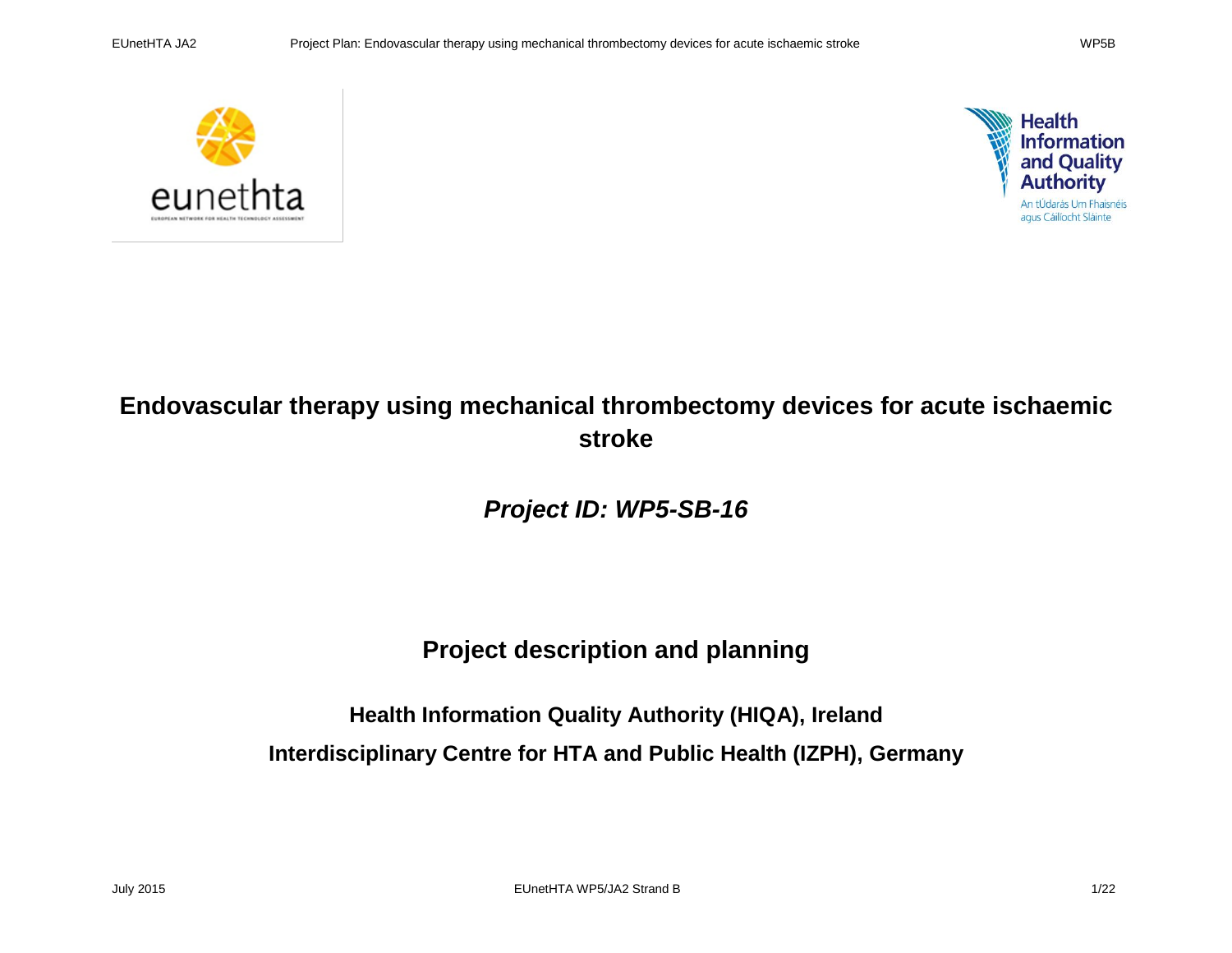



# **Endovascular therapy using mechanical thrombectomy devices for acute ischaemic stroke**

*Project ID: WP5-SB-16*

# **Project description and planning**

**Health Information Quality Authority (HIQA), Ireland Interdisciplinary Centre for HTA and Public Health (IZPH), Germany**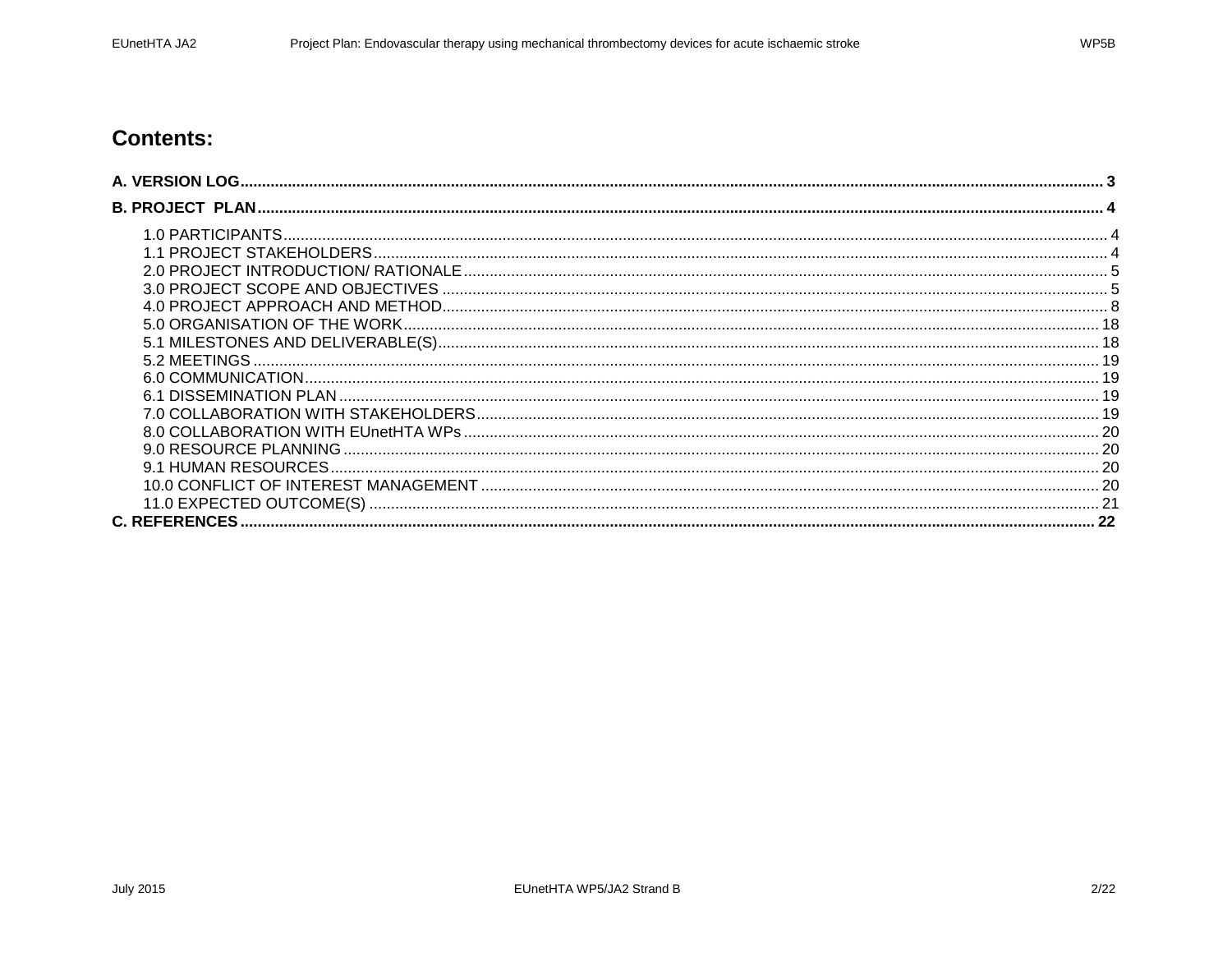# **Contents:**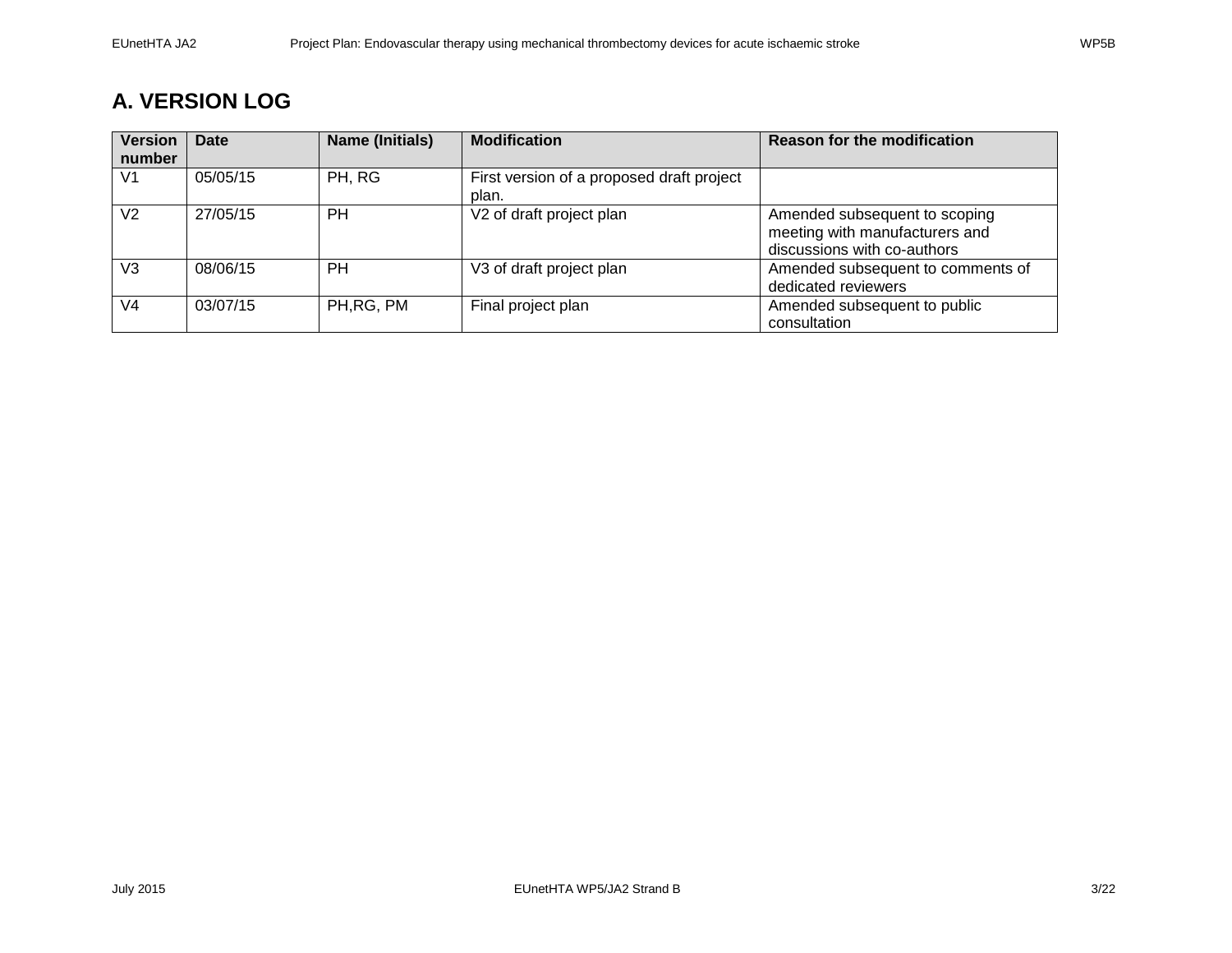# <span id="page-2-0"></span>**A. VERSION LOG**

| <b>Version</b><br>number | Date     | <b>Name (Initials)</b> | <b>Modification</b>                                | <b>Reason for the modification</b>                                                             |
|--------------------------|----------|------------------------|----------------------------------------------------|------------------------------------------------------------------------------------------------|
| V <sub>1</sub>           | 05/05/15 | PH, RG                 | First version of a proposed draft project<br>plan. |                                                                                                |
| V <sub>2</sub>           | 27/05/15 | PH.                    | V2 of draft project plan                           | Amended subsequent to scoping<br>meeting with manufacturers and<br>discussions with co-authors |
| V <sub>3</sub>           | 08/06/15 | <b>PH</b>              | V3 of draft project plan                           | Amended subsequent to comments of<br>dedicated reviewers                                       |
| V <sub>4</sub>           | 03/07/15 | PH, RG, PM             | Final project plan                                 | Amended subsequent to public<br>consultation                                                   |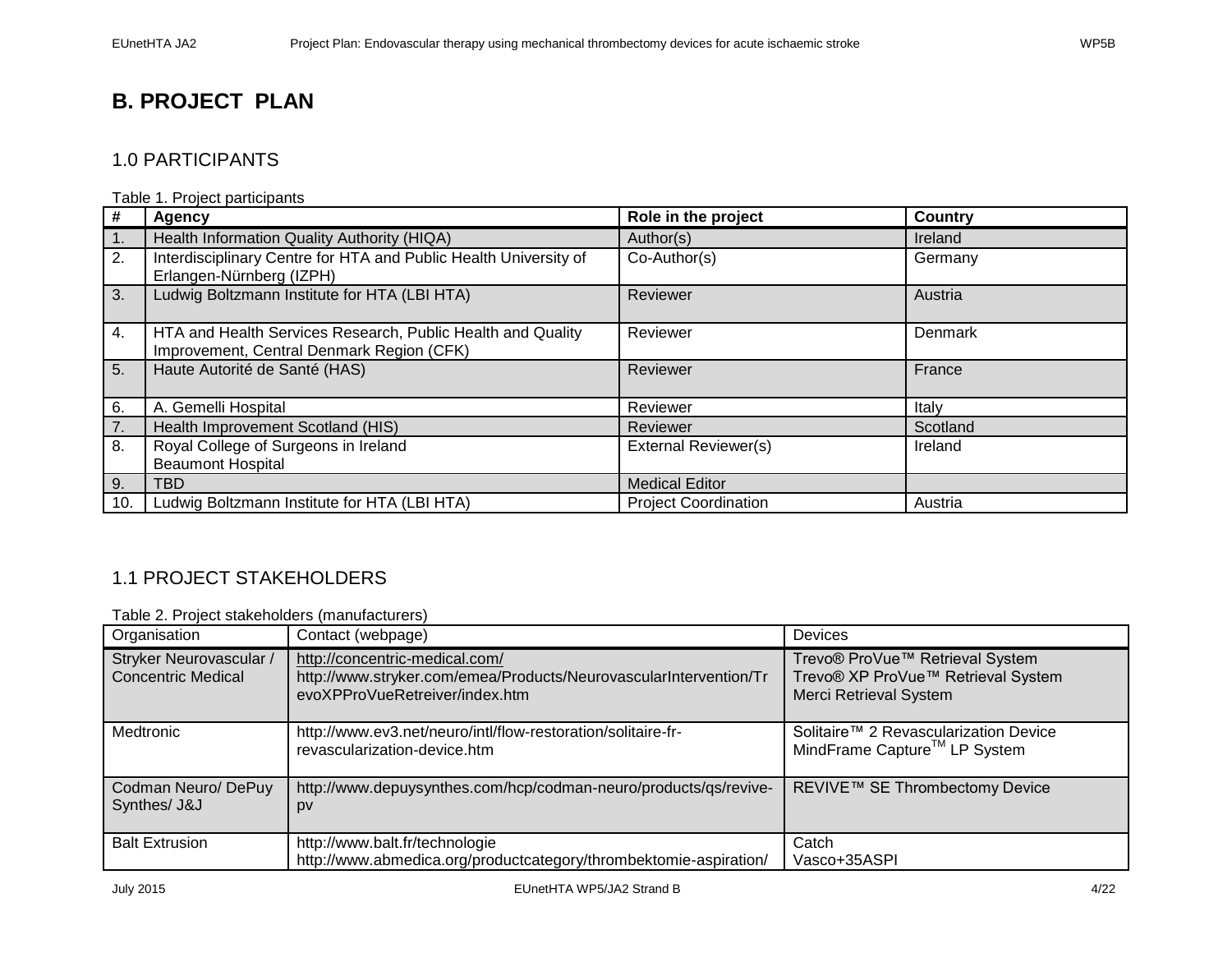# <span id="page-3-0"></span>**B. PROJECT PLAN**

## <span id="page-3-1"></span>1.0 PARTICIPANTS

#### Table 1. Project participants

| #          | Agency                                                                                                   | Role in the project         | <b>Country</b> |
|------------|----------------------------------------------------------------------------------------------------------|-----------------------------|----------------|
| $\vert$ 1. | Health Information Quality Authority (HIQA)                                                              | Author(s)                   | Ireland        |
| 2.         | Interdisciplinary Centre for HTA and Public Health University of<br>Erlangen-Nürnberg (IZPH)             | $Co-Author(s)$              | Germany        |
| 3.         | Ludwig Boltzmann Institute for HTA (LBI HTA)                                                             | Reviewer                    | Austria        |
| 4.         | HTA and Health Services Research, Public Health and Quality<br>Improvement, Central Denmark Region (CFK) | Reviewer                    | Denmark        |
| 5.         | Haute Autorité de Santé (HAS)                                                                            | Reviewer                    | France         |
| 6.         | A. Gemelli Hospital                                                                                      | Reviewer                    | Italy          |
| 7.         | Health Improvement Scotland (HIS)                                                                        | Reviewer                    | Scotland       |
| 8.         | Royal College of Surgeons in Ireland<br><b>Beaumont Hospital</b>                                         | <b>External Reviewer(s)</b> | Ireland        |
| 9.         | <b>TBD</b>                                                                                               | <b>Medical Editor</b>       |                |
| 10.        | Ludwig Boltzmann Institute for HTA (LBI HTA)                                                             | <b>Project Coordination</b> | Austria        |

# <span id="page-3-2"></span>1.1 PROJECT STAKEHOLDERS

Table 2. Project stakeholders (manufacturers)

| Contact (webpage)                                                                                                                     | <b>Devices</b>                                                                                  |
|---------------------------------------------------------------------------------------------------------------------------------------|-------------------------------------------------------------------------------------------------|
| http://concentric-medical.com/<br>http://www.stryker.com/emea/Products/NeurovascularIntervention/Tr<br>evoXPProVueRetreiver/index.htm | Trevo® ProVue™ Retrieval System<br>Trevo® XP ProVue™ Retrieval System<br>Merci Retrieval System |
| http://www.ev3.net/neuro/intl/flow-restoration/solitaire-fr-<br>revascularization-device.htm                                          | Solitaire™ 2 Revascularization Device<br>MindFrame Capture <sup>™</sup> LP System               |
| http://www.depuysynthes.com/hcp/codman-neuro/products/qs/revive-<br>pv                                                                | REVIVE™ SE Thrombectomy Device                                                                  |
| http://www.balt.fr/technologie                                                                                                        | Catch<br>Vasco+35ASPI                                                                           |
|                                                                                                                                       | http://www.abmedica.org/productcategory/thrombektomie-aspiration/                               |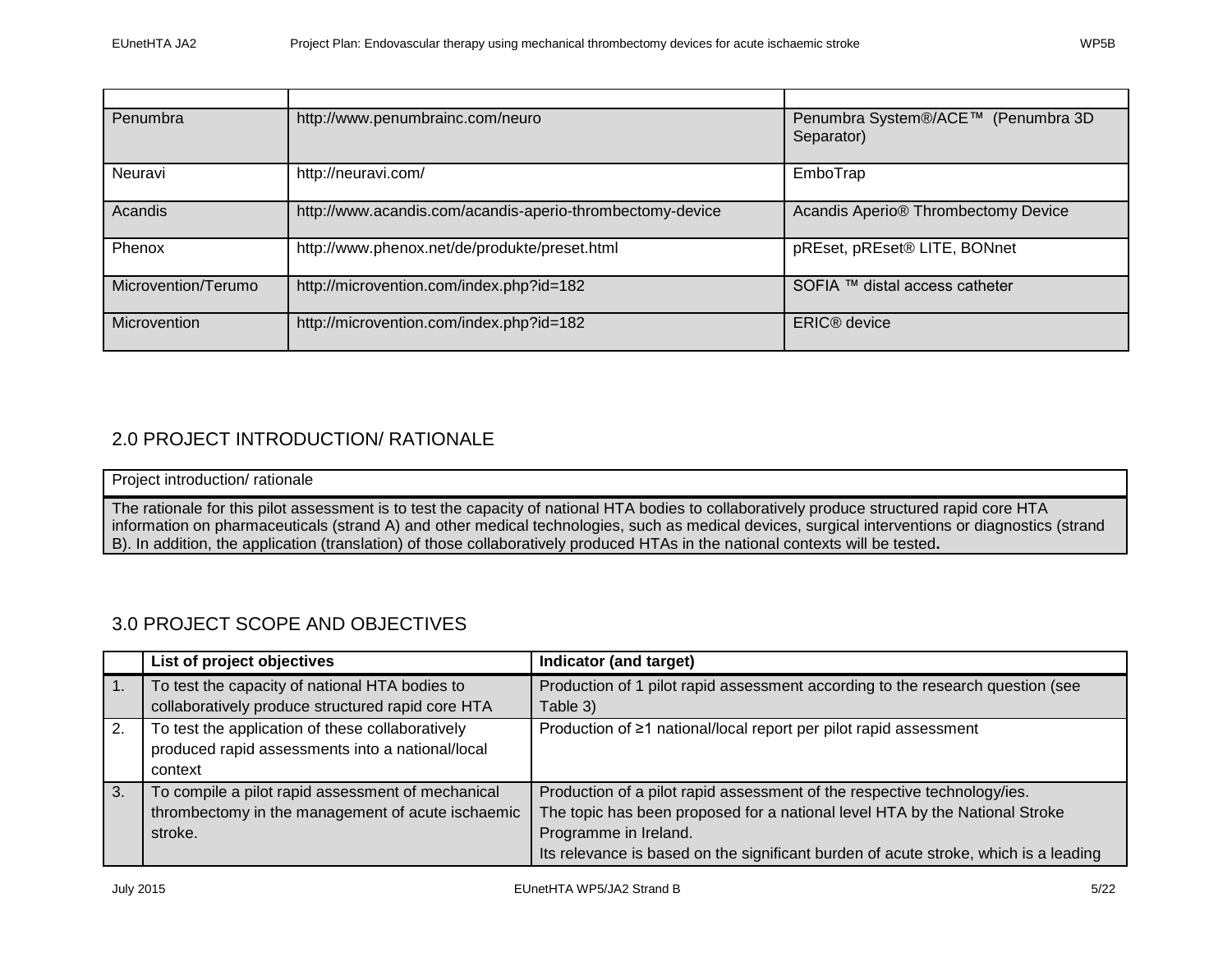| Penumbra            | http://www.penumbrainc.com/neuro                          | Penumbra System®/ACE™ (Penumbra 3D<br>Separator) |
|---------------------|-----------------------------------------------------------|--------------------------------------------------|
| Neuravi             | http://neuravi.com/                                       | EmboTrap                                         |
| Acandis             | http://www.acandis.com/acandis-aperio-thrombectomy-device | Acandis Aperio® Thrombectomy Device              |
| Phenox              | http://www.phenox.net/de/produkte/preset.html             | pREset, pREset® LITE, BONnet                     |
| Microvention/Terumo | http://microvention.com/index.php?id=182                  | SOFIA ™ distal access catheter                   |
| Microvention        | http://microvention.com/index.php?id=182                  | ERIC <sup>®</sup> device                         |

# <span id="page-4-0"></span>2.0 PROJECT INTRODUCTION/ RATIONALE

Project introduction/ rationale

<span id="page-4-1"></span>The rationale for this pilot assessment is to test the capacity of national HTA bodies to collaboratively produce structured rapid core HTA information on pharmaceuticals (strand A) and other medical technologies, such as medical devices, surgical interventions or diagnostics (strand B). In addition, the application (translation) of those collaboratively produced HTAs in the national contexts will be tested**.** 

# 3.0 PROJECT SCOPE AND OBJECTIVES

|    | List of project objectives                                                                                        | Indicator (and target)                                                                                                                                                                                                                                                   |
|----|-------------------------------------------------------------------------------------------------------------------|--------------------------------------------------------------------------------------------------------------------------------------------------------------------------------------------------------------------------------------------------------------------------|
|    | To test the capacity of national HTA bodies to<br>collaboratively produce structured rapid core HTA               | Production of 1 pilot rapid assessment according to the research question (see<br>Table 3)                                                                                                                                                                               |
| 2. | To test the application of these collaboratively<br>produced rapid assessments into a national/local<br>context   | Production of ≥1 national/local report per pilot rapid assessment                                                                                                                                                                                                        |
| 3. | To compile a pilot rapid assessment of mechanical<br>thrombectomy in the management of acute ischaemic<br>stroke. | Production of a pilot rapid assessment of the respective technology/ies.<br>The topic has been proposed for a national level HTA by the National Stroke<br>Programme in Ireland.<br>Its relevance is based on the significant burden of acute stroke, which is a leading |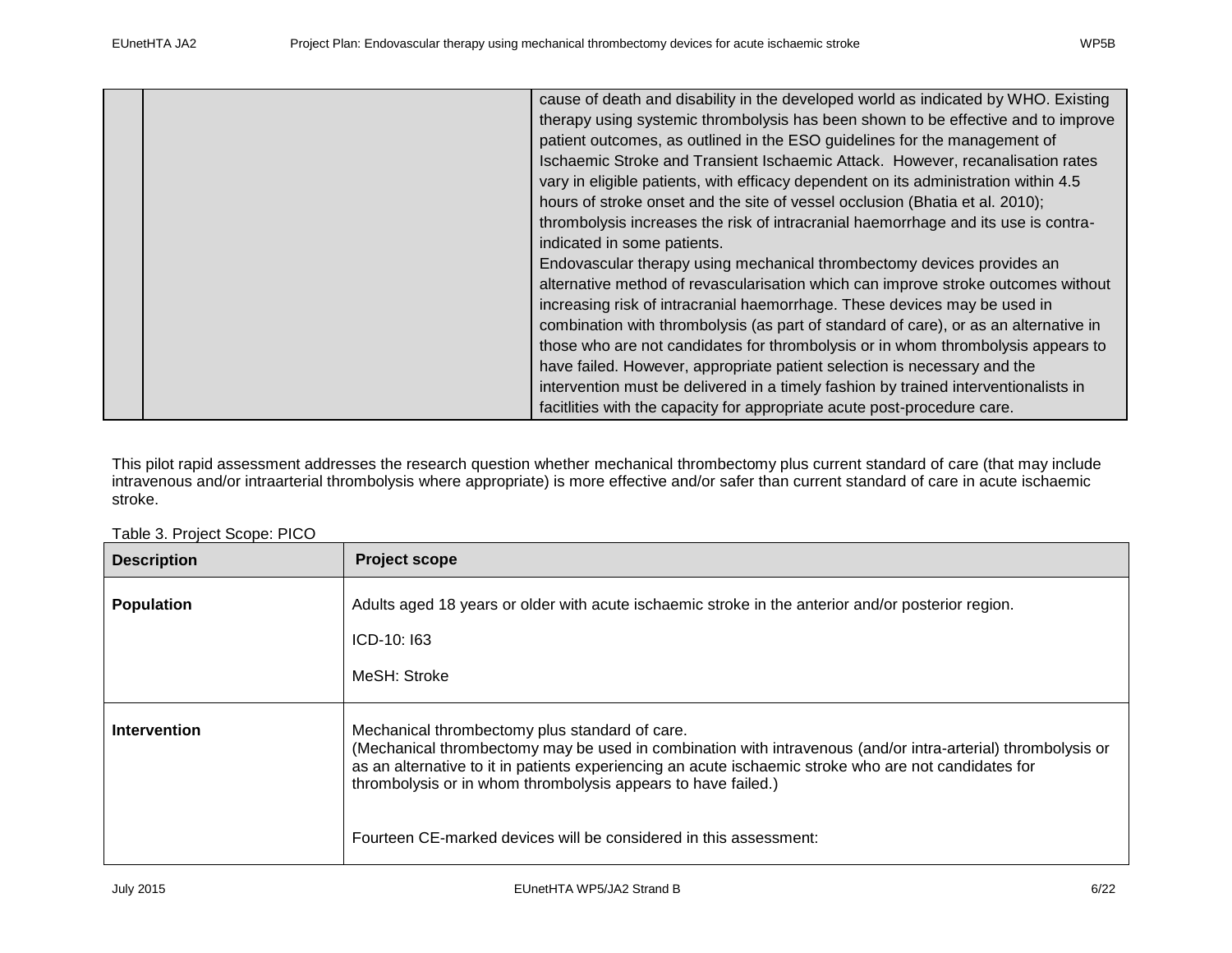| cause of death and disability in the developed world as indicated by WHO. Existing   |
|--------------------------------------------------------------------------------------|
| therapy using systemic thrombolysis has been shown to be effective and to improve    |
| patient outcomes, as outlined in the ESO guidelines for the management of            |
| Ischaemic Stroke and Transient Ischaemic Attack. However, recanalisation rates       |
| vary in eligible patients, with efficacy dependent on its administration within 4.5  |
| hours of stroke onset and the site of vessel occlusion (Bhatia et al. 2010);         |
| thrombolysis increases the risk of intracranial haemorrhage and its use is contra-   |
| indicated in some patients.                                                          |
| Endovascular therapy using mechanical thrombectomy devices provides an               |
| alternative method of revascularisation which can improve stroke outcomes without    |
| increasing risk of intracranial haemorrhage. These devices may be used in            |
| combination with thrombolysis (as part of standard of care), or as an alternative in |
| those who are not candidates for thrombolysis or in whom thrombolysis appears to     |
| have failed. However, appropriate patient selection is necessary and the             |
| intervention must be delivered in a timely fashion by trained interventionalists in  |
| facitlities with the capacity for appropriate acute post-procedure care.             |
|                                                                                      |

This pilot rapid assessment addresses the research question whether mechanical thrombectomy plus current standard of care (that may include intravenous and/or intraarterial thrombolysis where appropriate) is more effective and/or safer than current standard of care in acute ischaemic stroke.

Table 3. Project Scope: PICO

| <b>Description</b>  | <b>Project scope</b>                                                                                                                                                                                                                                                                                                                                                                                          |
|---------------------|---------------------------------------------------------------------------------------------------------------------------------------------------------------------------------------------------------------------------------------------------------------------------------------------------------------------------------------------------------------------------------------------------------------|
| <b>Population</b>   | Adults aged 18 years or older with acute ischaemic stroke in the anterior and/or posterior region.<br>ICD-10: 163<br>MeSH: Stroke                                                                                                                                                                                                                                                                             |
| <b>Intervention</b> | Mechanical thrombectomy plus standard of care.<br>(Mechanical thrombectomy may be used in combination with intravenous (and/or intra-arterial) thrombolysis or<br>as an alternative to it in patients experiencing an acute ischaemic stroke who are not candidates for<br>thrombolysis or in whom thrombolysis appears to have failed.)<br>Fourteen CE-marked devices will be considered in this assessment: |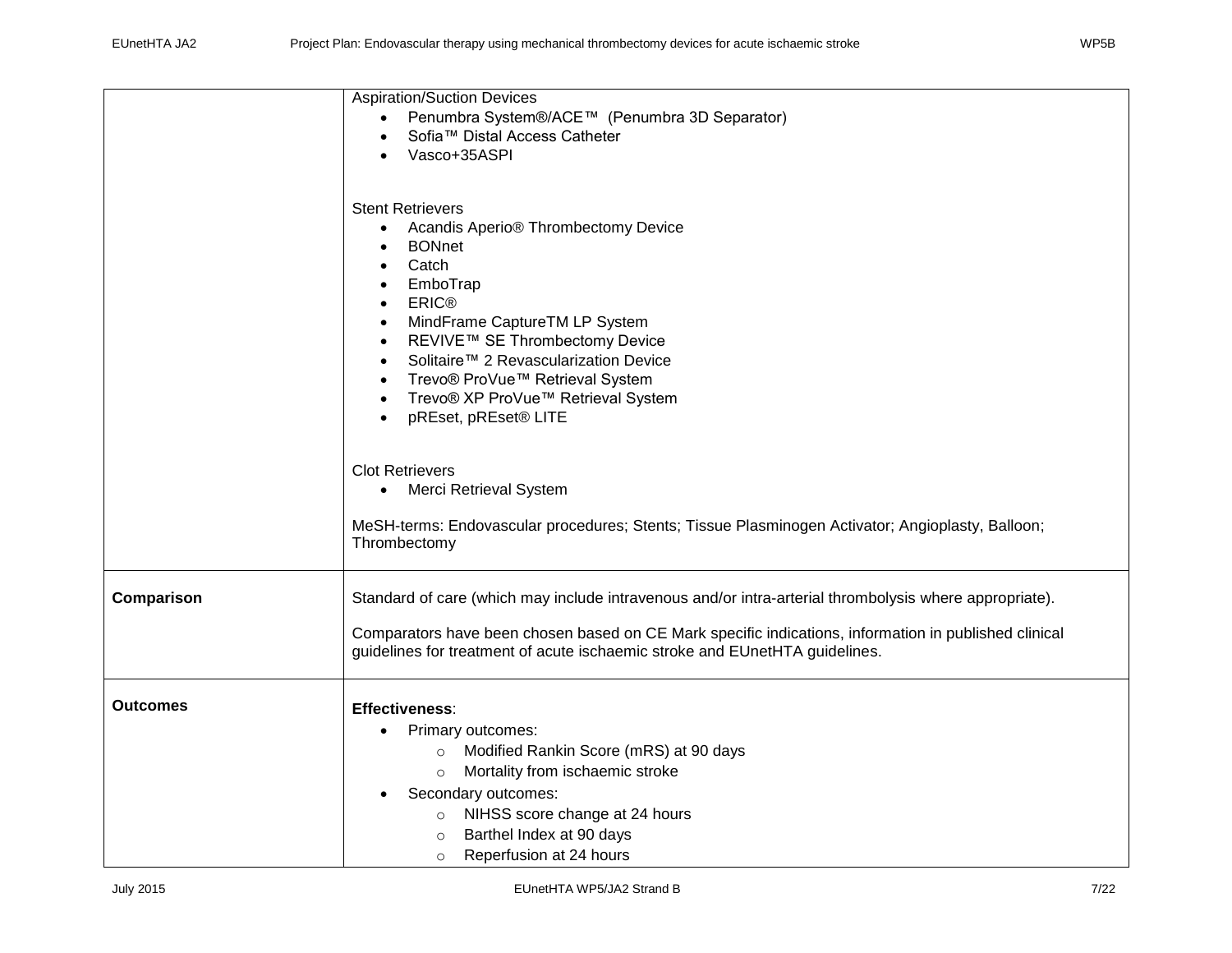|                 | <b>Aspiration/Suction Devices</b>                                                                                |
|-----------------|------------------------------------------------------------------------------------------------------------------|
|                 | Penumbra System®/ACE™ (Penumbra 3D Separator)                                                                    |
|                 | Sofia™ Distal Access Catheter                                                                                    |
|                 | Vasco+35ASPI                                                                                                     |
|                 |                                                                                                                  |
|                 |                                                                                                                  |
|                 | <b>Stent Retrievers</b>                                                                                          |
|                 | Acandis Aperio <sup>®</sup> Thrombectomy Device<br>$\bullet$                                                     |
|                 | <b>BONnet</b>                                                                                                    |
|                 | Catch                                                                                                            |
|                 | EmboTrap                                                                                                         |
|                 | <b>ERIC®</b>                                                                                                     |
|                 | MindFrame CaptureTM LP System<br>REVIVE™ SE Thrombectomy Device                                                  |
|                 | Solitaire™ 2 Revascularization Device                                                                            |
|                 | Trevo® ProVue™ Retrieval System                                                                                  |
|                 | Trevo® XP ProVue™ Retrieval System                                                                               |
|                 | pREset, pREset® LITE                                                                                             |
|                 |                                                                                                                  |
|                 |                                                                                                                  |
|                 | <b>Clot Retrievers</b>                                                                                           |
|                 | Merci Retrieval System<br>$\bullet$                                                                              |
|                 |                                                                                                                  |
|                 | MeSH-terms: Endovascular procedures; Stents; Tissue Plasminogen Activator; Angioplasty, Balloon;<br>Thrombectomy |
|                 |                                                                                                                  |
|                 |                                                                                                                  |
| Comparison      | Standard of care (which may include intravenous and/or intra-arterial thrombolysis where appropriate).           |
|                 | Comparators have been chosen based on CE Mark specific indications, information in published clinical            |
|                 | guidelines for treatment of acute ischaemic stroke and EUnetHTA guidelines.                                      |
|                 |                                                                                                                  |
|                 |                                                                                                                  |
| <b>Outcomes</b> | <b>Effectiveness:</b>                                                                                            |
|                 | Primary outcomes:                                                                                                |
|                 | Modified Rankin Score (mRS) at 90 days<br>$\circ$                                                                |
|                 | Mortality from ischaemic stroke<br>$\circ$                                                                       |
|                 | Secondary outcomes:                                                                                              |
|                 | NIHSS score change at 24 hours<br>$\circ$                                                                        |
|                 | Barthel Index at 90 days<br>$\circ$                                                                              |
|                 | Reperfusion at 24 hours<br>$\circ$                                                                               |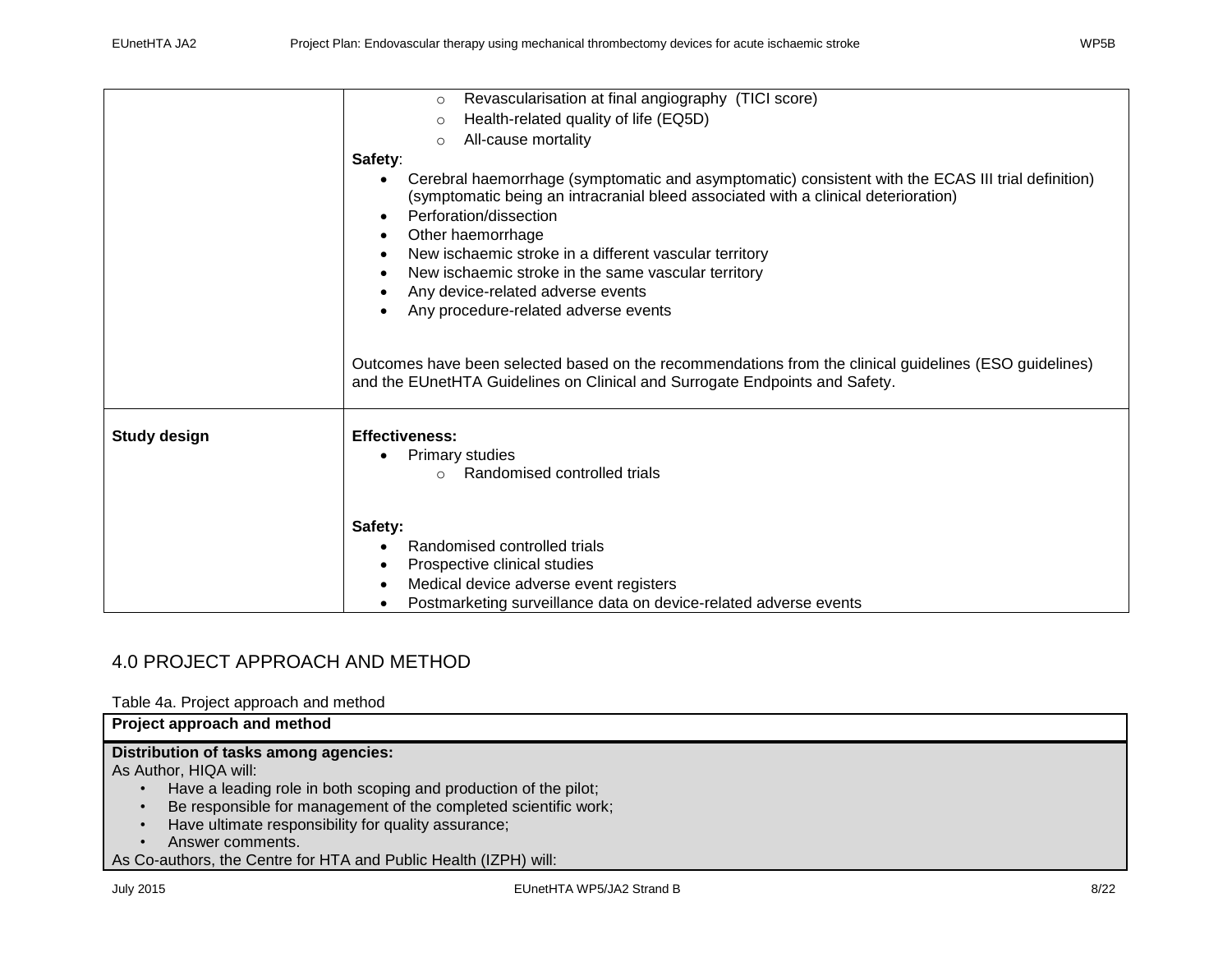|                     | Revascularisation at final angiography (TICI score)<br>$\circ$                                                                                                                                                                                                                                                                                                                                                                                                                                                                                  |  |
|---------------------|-------------------------------------------------------------------------------------------------------------------------------------------------------------------------------------------------------------------------------------------------------------------------------------------------------------------------------------------------------------------------------------------------------------------------------------------------------------------------------------------------------------------------------------------------|--|
|                     | Health-related quality of life (EQ5D)<br>$\circ$                                                                                                                                                                                                                                                                                                                                                                                                                                                                                                |  |
|                     | All-cause mortality<br>$\circ$                                                                                                                                                                                                                                                                                                                                                                                                                                                                                                                  |  |
|                     | Safety:                                                                                                                                                                                                                                                                                                                                                                                                                                                                                                                                         |  |
|                     | Cerebral haemorrhage (symptomatic and asymptomatic) consistent with the ECAS III trial definition)<br>(symptomatic being an intracranial bleed associated with a clinical deterioration)<br>Perforation/dissection<br>Other haemorrhage<br>New ischaemic stroke in a different vascular territory<br>New ischaemic stroke in the same vascular territory<br>Any device-related adverse events<br>Any procedure-related adverse events<br>Outcomes have been selected based on the recommendations from the clinical guidelines (ESO guidelines) |  |
|                     | and the EUnetHTA Guidelines on Clinical and Surrogate Endpoints and Safety.                                                                                                                                                                                                                                                                                                                                                                                                                                                                     |  |
| <b>Study design</b> | <b>Effectiveness:</b><br><b>Primary studies</b><br>Randomised controlled trials                                                                                                                                                                                                                                                                                                                                                                                                                                                                 |  |
|                     | Safety:                                                                                                                                                                                                                                                                                                                                                                                                                                                                                                                                         |  |
|                     | Randomised controlled trials                                                                                                                                                                                                                                                                                                                                                                                                                                                                                                                    |  |
|                     | Prospective clinical studies                                                                                                                                                                                                                                                                                                                                                                                                                                                                                                                    |  |
|                     | Medical device adverse event registers                                                                                                                                                                                                                                                                                                                                                                                                                                                                                                          |  |
|                     | Postmarketing surveillance data on device-related adverse events                                                                                                                                                                                                                                                                                                                                                                                                                                                                                |  |

# <span id="page-7-0"></span>4.0 PROJECT APPROACH AND METHOD

Table 4a. Project approach and method

| Project approach and method                                      |  |  |  |
|------------------------------------------------------------------|--|--|--|
| Distribution of tasks among agencies:                            |  |  |  |
| As Author, HIQA will:                                            |  |  |  |
| Have a leading role in both scoping and production of the pilot; |  |  |  |
| Be responsible for management of the completed scientific work;  |  |  |  |
| Have ultimate responsibility for quality assurance;              |  |  |  |
| Answer comments.                                                 |  |  |  |
| As Co-authors, the Centre for HTA and Public Health (IZPH) will: |  |  |  |
|                                                                  |  |  |  |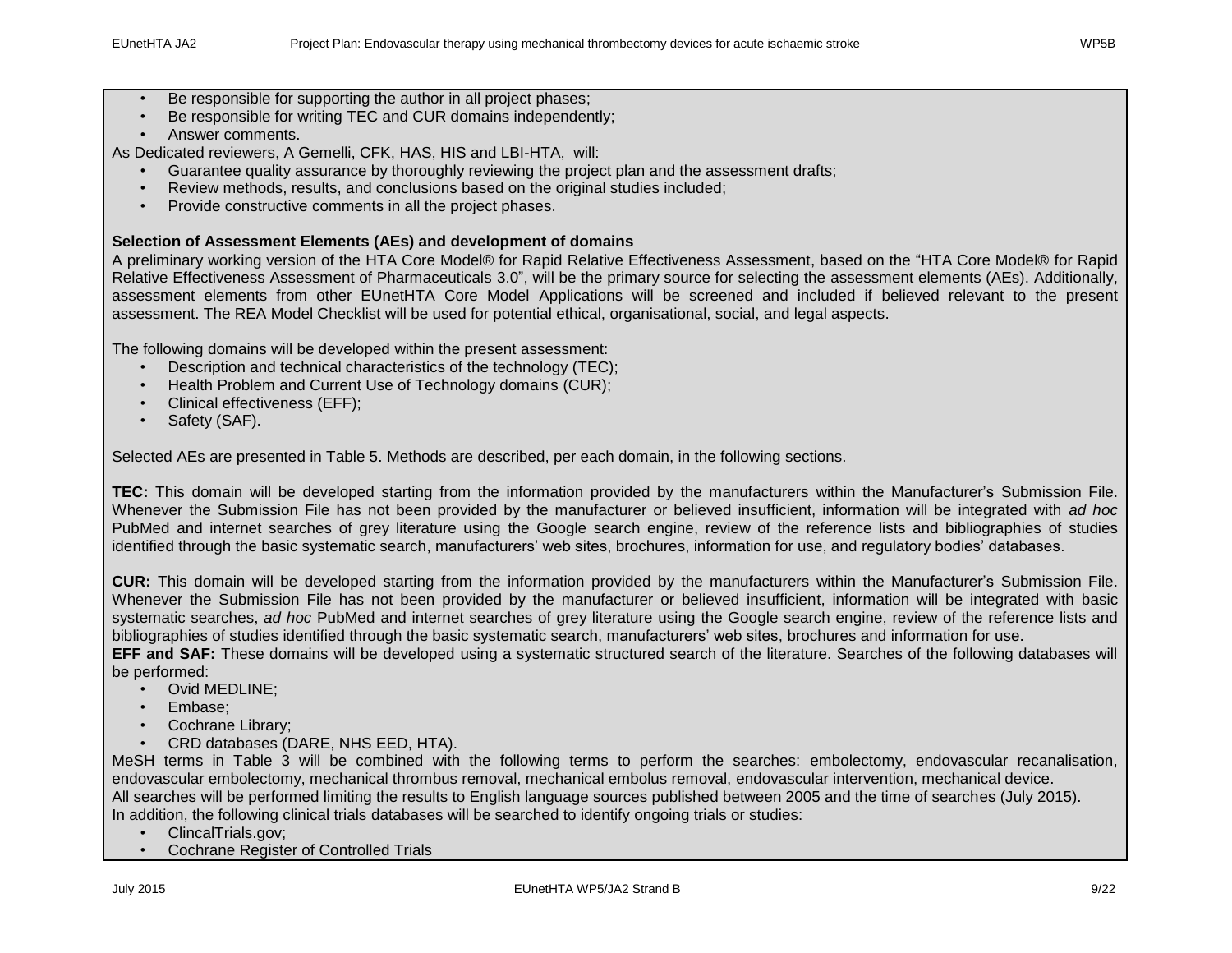- Be responsible for supporting the author in all project phases;
- Be responsible for writing TEC and CUR domains independently;
- Answer comments.

As Dedicated reviewers, A Gemelli, CFK, HAS, HIS and LBI-HTA, will:

- Guarantee quality assurance by thoroughly reviewing the project plan and the assessment drafts;
- Review methods, results, and conclusions based on the original studies included;
- Provide constructive comments in all the project phases.

#### **Selection of Assessment Elements (AEs) and development of domains**

A preliminary working version of the HTA Core Model® for Rapid Relative Effectiveness Assessment, based on the "HTA Core Model® for Rapid Relative Effectiveness Assessment of Pharmaceuticals 3.0", will be the primary source for selecting the assessment elements (AEs). Additionally, assessment elements from other EUnetHTA Core Model Applications will be screened and included if believed relevant to the present assessment. The REA Model Checklist will be used for potential ethical, organisational, social, and legal aspects.

The following domains will be developed within the present assessment:

- Description and technical characteristics of the technology (TEC);
- Health Problem and Current Use of Technology domains (CUR);
- Clinical effectiveness (EFF);
- Safety (SAF).

Selected AEs are presented in Table 5. Methods are described, per each domain, in the following sections.

**TEC:** This domain will be developed starting from the information provided by the manufacturers within the Manufacturer's Submission File. Whenever the Submission File has not been provided by the manufacturer or believed insufficient, information will be integrated with *ad hoc* PubMed and internet searches of grey literature using the Google search engine, review of the reference lists and bibliographies of studies identified through the basic systematic search, manufacturers' web sites, brochures, information for use, and regulatory bodies' databases.

**CUR:** This domain will be developed starting from the information provided by the manufacturers within the Manufacturer's Submission File. Whenever the Submission File has not been provided by the manufacturer or believed insufficient, information will be integrated with basic systematic searches, *ad hoc* PubMed and internet searches of grey literature using the Google search engine, review of the reference lists and bibliographies of studies identified through the basic systematic search, manufacturers' web sites, brochures and information for use.

**EFF and SAF:** These domains will be developed using a systematic structured search of the literature. Searches of the following databases will be performed:

- Ovid MEDLINE;
- Embase;
- Cochrane Library;
- CRD databases (DARE, NHS EED, HTA).

MeSH terms in Table 3 will be combined with the following terms to perform the searches: embolectomy, endovascular recanalisation, endovascular embolectomy, mechanical thrombus removal, mechanical embolus removal, endovascular intervention, mechanical device. All searches will be performed limiting the results to English language sources published between 2005 and the time of searches (July 2015). In addition, the following clinical trials databases will be searched to identify ongoing trials or studies:

- ClincalTrials.gov;
- Cochrane Register of Controlled Trials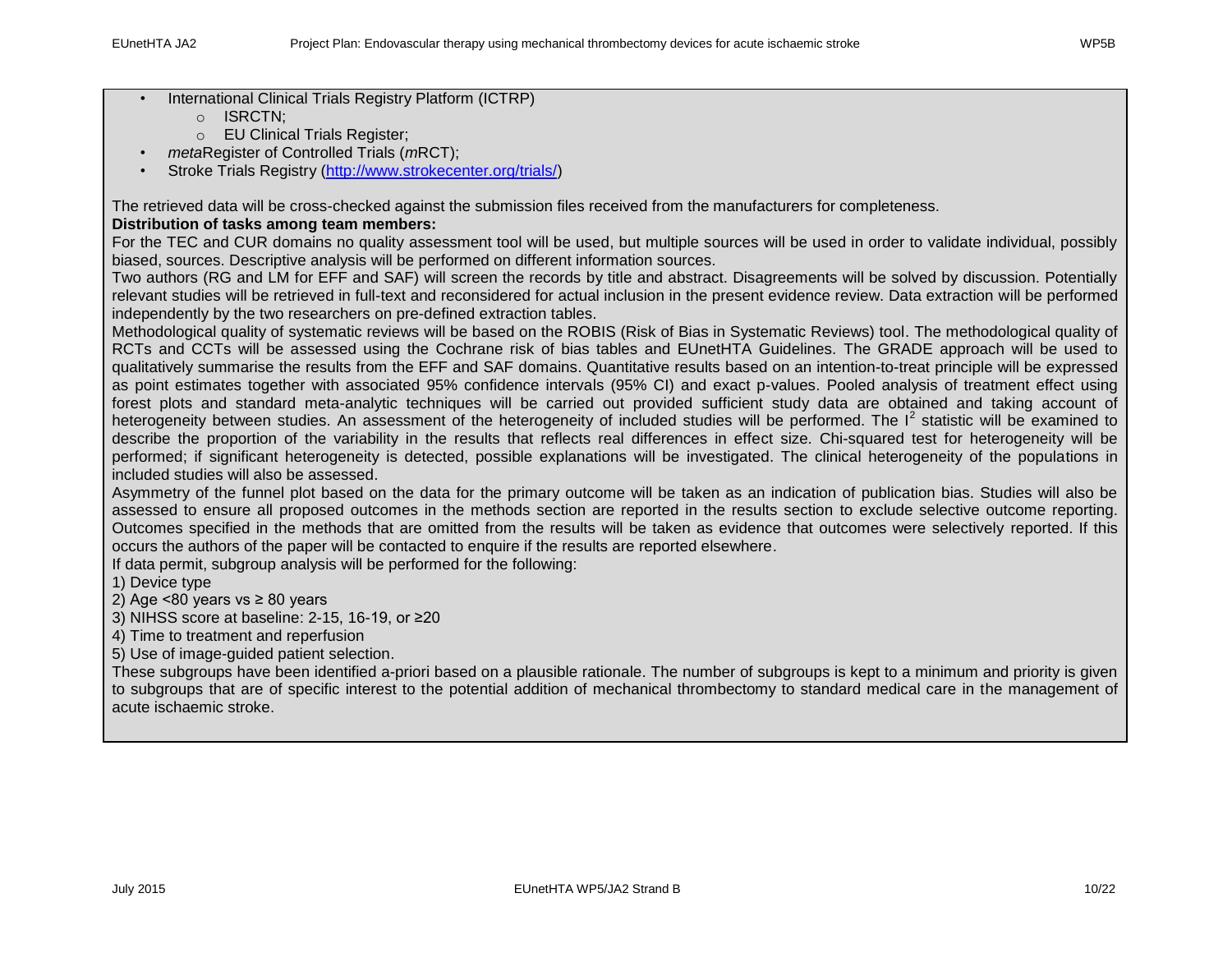- International Clinical Trials Registry Platform (ICTRP)
	- o ISRCTN;
	- o EU Clinical Trials Register;
- *meta*Register of Controlled Trials (*m*RCT);
- Stroke Trials Registry [\(http://www.strokecenter.org/trials/\)](http://www.strokecenter.org/trials/)

The retrieved data will be cross-checked against the submission files received from the manufacturers for completeness.

#### **Distribution of tasks among team members:**

For the TEC and CUR domains no quality assessment tool will be used, but multiple sources will be used in order to validate individual, possibly biased, sources. Descriptive analysis will be performed on different information sources.

Two authors (RG and LM for EFF and SAF) will screen the records by title and abstract. Disagreements will be solved by discussion. Potentially relevant studies will be retrieved in full-text and reconsidered for actual inclusion in the present evidence review. Data extraction will be performed independently by the two researchers on pre-defined extraction tables.

Methodological quality of systematic reviews will be based on the ROBIS (Risk of Bias in Systematic Reviews) tool. The methodological quality of RCTs and CCTs will be assessed using the Cochrane risk of bias tables and EUnetHTA Guidelines. The GRADE approach will be used to qualitatively summarise the results from the EFF and SAF domains. Quantitative results based on an intention-to-treat principle will be expressed as point estimates together with associated 95% confidence intervals (95% CI) and exact p-values. Pooled analysis of treatment effect using forest plots and standard meta-analytic techniques will be carried out provided sufficient study data are obtained and taking account of heterogeneity between studies. An assessment of the heterogeneity of included studies will be performed. The I<sup>2</sup> statistic will be examined to describe the proportion of the variability in the results that reflects real differences in effect size. Chi-squared test for heterogeneity will be performed; if significant heterogeneity is detected, possible explanations will be investigated. The clinical heterogeneity of the populations in included studies will also be assessed.

Asymmetry of the funnel plot based on the data for the primary outcome will be taken as an indication of publication bias. Studies will also be assessed to ensure all proposed outcomes in the methods section are reported in the results section to exclude selective outcome reporting. Outcomes specified in the methods that are omitted from the results will be taken as evidence that outcomes were selectively reported. If this occurs the authors of the paper will be contacted to enquire if the results are reported elsewhere.

If data permit, subgroup analysis will be performed for the following:

1) Device type

2) Age <80 years vs  $\geq$  80 years

3) NIHSS score at baseline: 2-15, 16-19, or ≥20

4) Time to treatment and reperfusion

5) Use of image-guided patient selection.

These subgroups have been identified a-priori based on a plausible rationale. The number of subgroups is kept to a minimum and priority is given to subgroups that are of specific interest to the potential addition of mechanical thrombectomy to standard medical care in the management of acute ischaemic stroke.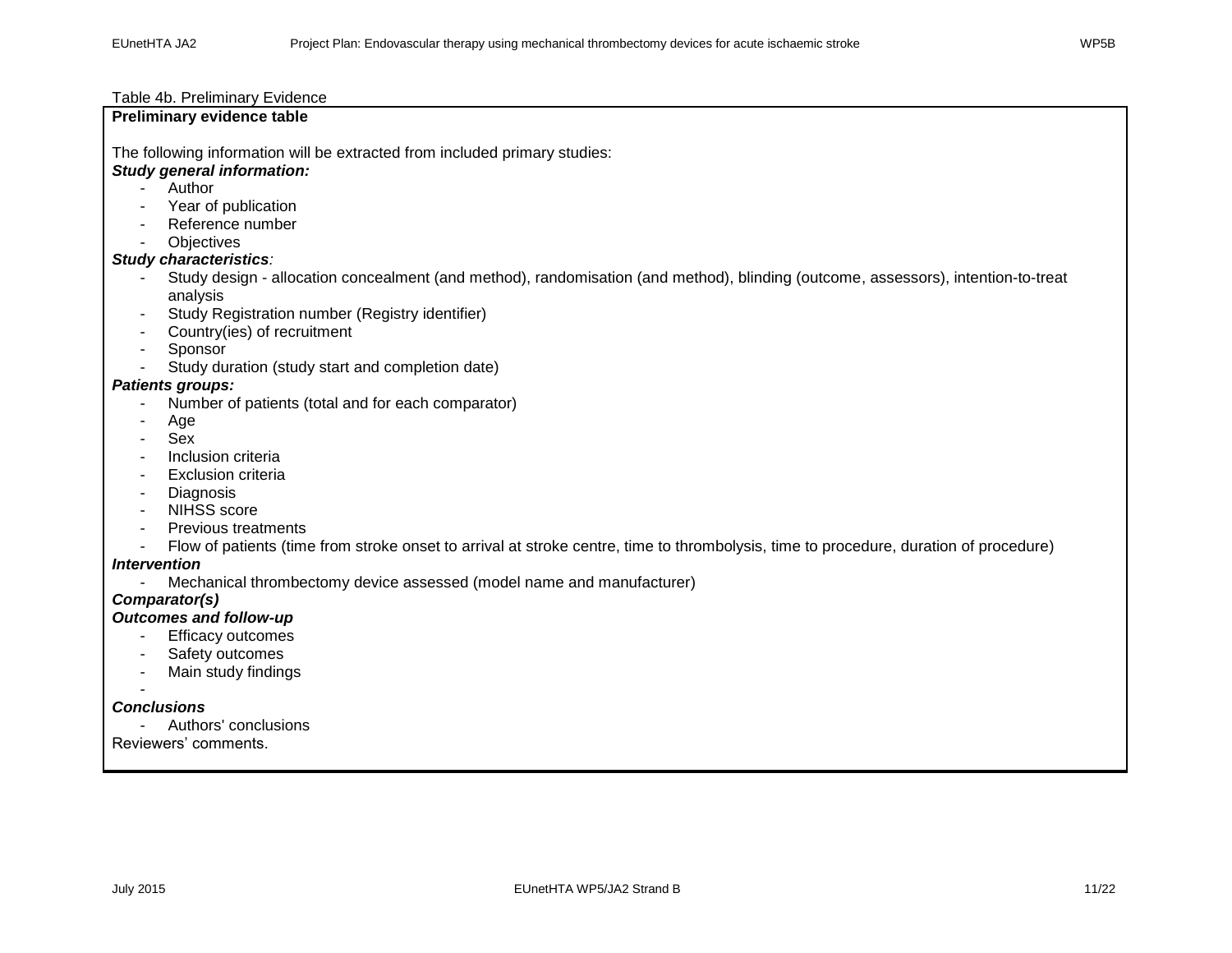#### Table 4b. Preliminary Evidence

| $18.115$ minimizity $\equiv 118$ chaon to $\equiv$                                                                                    |
|---------------------------------------------------------------------------------------------------------------------------------------|
| Preliminary evidence table                                                                                                            |
| The following information will be extracted from included primary studies:                                                            |
| <b>Study general information:</b>                                                                                                     |
| Author                                                                                                                                |
| Year of publication                                                                                                                   |
| Reference number                                                                                                                      |
| Objectives                                                                                                                            |
| Study characteristics:                                                                                                                |
| Study design - allocation concealment (and method), randomisation (and method), blinding (outcome, assessors), intention-to-treat     |
| analysis                                                                                                                              |
| Study Registration number (Registry identifier)                                                                                       |
| Country(ies) of recruitment                                                                                                           |
| Sponsor<br>$\blacksquare$                                                                                                             |
| Study duration (study start and completion date)                                                                                      |
| <b>Patients groups:</b>                                                                                                               |
| Number of patients (total and for each comparator)                                                                                    |
| Age                                                                                                                                   |
| Sex                                                                                                                                   |
| Inclusion criteria                                                                                                                    |
| Exclusion criteria                                                                                                                    |
| Diagnosis                                                                                                                             |
| <b>NIHSS</b> score                                                                                                                    |
| <b>Previous treatments</b>                                                                                                            |
| Flow of patients (time from stroke onset to arrival at stroke centre, time to thrombolysis, time to procedure, duration of procedure) |
| <b>Intervention</b>                                                                                                                   |
| Mechanical thrombectomy device assessed (model name and manufacturer)<br>Comparator(s)                                                |
| <b>Outcomes and follow-up</b>                                                                                                         |
| Efficacy outcomes                                                                                                                     |
| Safety outcomes                                                                                                                       |
| Main study findings                                                                                                                   |
|                                                                                                                                       |
| <b>Conclusions</b>                                                                                                                    |
| Authors' conclusions                                                                                                                  |
| Reviewers' comments.                                                                                                                  |
|                                                                                                                                       |
|                                                                                                                                       |
|                                                                                                                                       |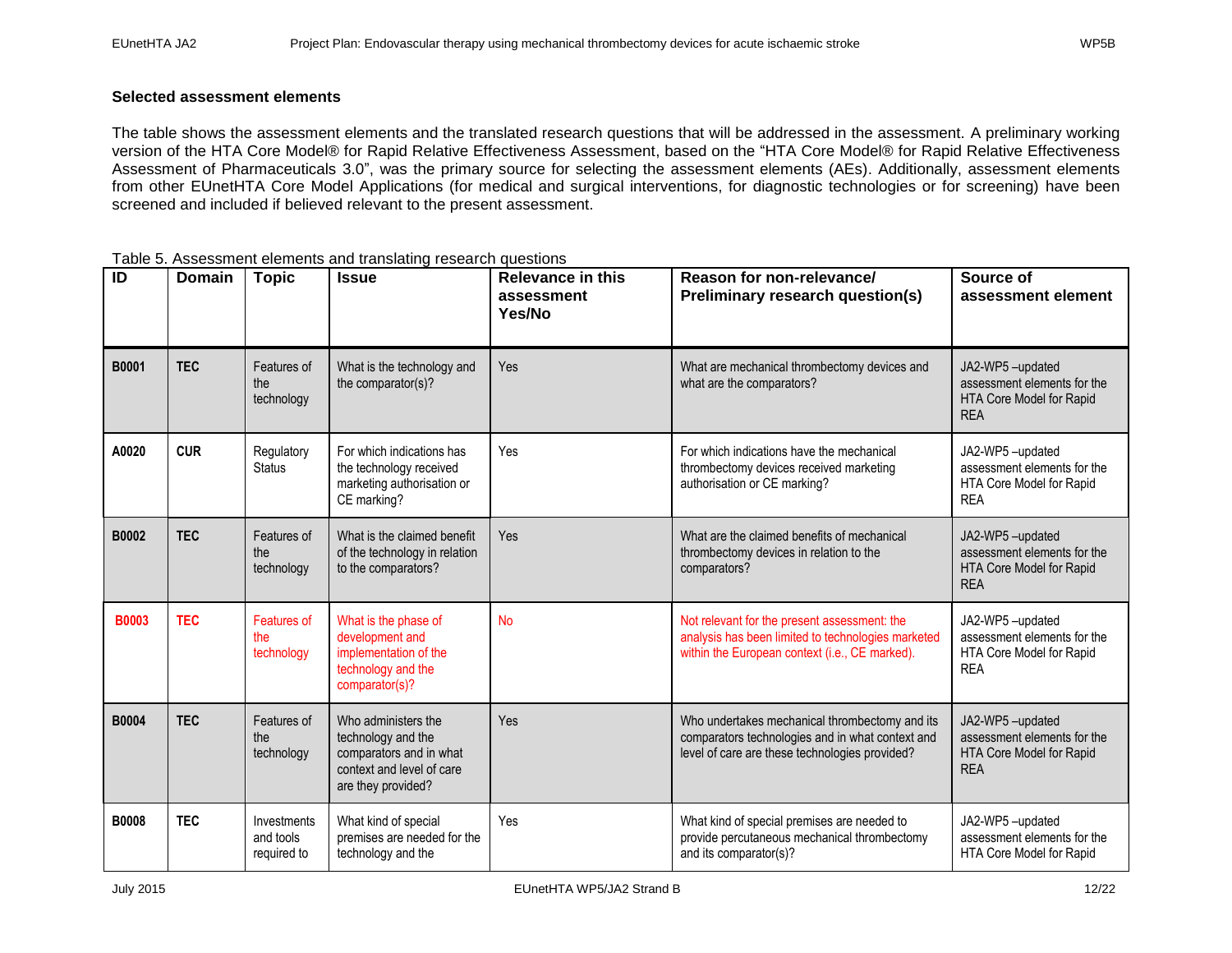#### **Selected assessment elements**

The table shows the assessment elements and the translated research questions that will be addressed in the assessment. A preliminary working version of the HTA Core Model® for Rapid Relative Effectiveness Assessment, based on the "HTA Core Model® for Rapid Relative Effectiveness Assessment of Pharmaceuticals 3.0", was the primary source for selecting the assessment elements (AEs). Additionally, assessment elements from other EUnetHTA Core Model Applications (for medical and surgical interventions, for diagnostic technologies or for screening) have been screened and included if believed relevant to the present assessment.

| $\overline{ID}$ | <b>Domain</b> | <b>Topic</b>                            | <b>Issue</b>                                                                                                            | <b>Relevance in this</b><br>assessment<br>Yes/No | Reason for non-relevance/<br><b>Preliminary research question(s)</b>                                                                                 | Source of<br>assessment element                                                          |
|-----------------|---------------|-----------------------------------------|-------------------------------------------------------------------------------------------------------------------------|--------------------------------------------------|------------------------------------------------------------------------------------------------------------------------------------------------------|------------------------------------------------------------------------------------------|
| B0001           | <b>TEC</b>    | Features of<br>the<br>technology        | What is the technology and<br>the comparator(s)?                                                                        | Yes                                              | What are mechanical thrombectomy devices and<br>what are the comparators?                                                                            | JA2-WP5-updated<br>assessment elements for the<br>HTA Core Model for Rapid<br><b>REA</b> |
| A0020           | <b>CUR</b>    | Regulatory<br><b>Status</b>             | For which indications has<br>the technology received<br>marketing authorisation or<br>CE marking?                       | Yes                                              | For which indications have the mechanical<br>thrombectomy devices received marketing<br>authorisation or CE marking?                                 | JA2-WP5-updated<br>assessment elements for the<br>HTA Core Model for Rapid<br><b>REA</b> |
| B0002           | <b>TEC</b>    | Features of<br>the<br>technology        | What is the claimed benefit<br>of the technology in relation<br>to the comparators?                                     | Yes                                              | What are the claimed benefits of mechanical<br>thrombectomy devices in relation to the<br>comparators?                                               | JA2-WP5-updated<br>assessment elements for the<br>HTA Core Model for Rapid<br><b>REA</b> |
| <b>B0003</b>    | <b>TEC</b>    | <b>Features of</b><br>the<br>technology | What is the phase of<br>development and<br>implementation of the<br>technology and the<br>comparator(s)?                | <b>No</b>                                        | Not relevant for the present assessment: the<br>analysis has been limited to technologies marketed<br>within the European context (i.e., CE marked). | JA2-WP5-updated<br>assessment elements for the<br>HTA Core Model for Rapid<br><b>REA</b> |
| <b>B0004</b>    | <b>TEC</b>    | Features of<br>the<br>technology        | Who administers the<br>technology and the<br>comparators and in what<br>context and level of care<br>are they provided? | Yes                                              | Who undertakes mechanical thrombectomy and its<br>comparators technologies and in what context and<br>level of care are these technologies provided? | JA2-WP5-updated<br>assessment elements for the<br>HTA Core Model for Rapid<br><b>REA</b> |
| B0008           | <b>TEC</b>    | Investments<br>and tools<br>required to | What kind of special<br>premises are needed for the<br>technology and the                                               | Yes                                              | What kind of special premises are needed to<br>provide percutaneous mechanical thrombectomy<br>and its comparator(s)?                                | JA2-WP5-updated<br>assessment elements for the<br>HTA Core Model for Rapid               |

#### Table 5. Assessment elements and translating research questions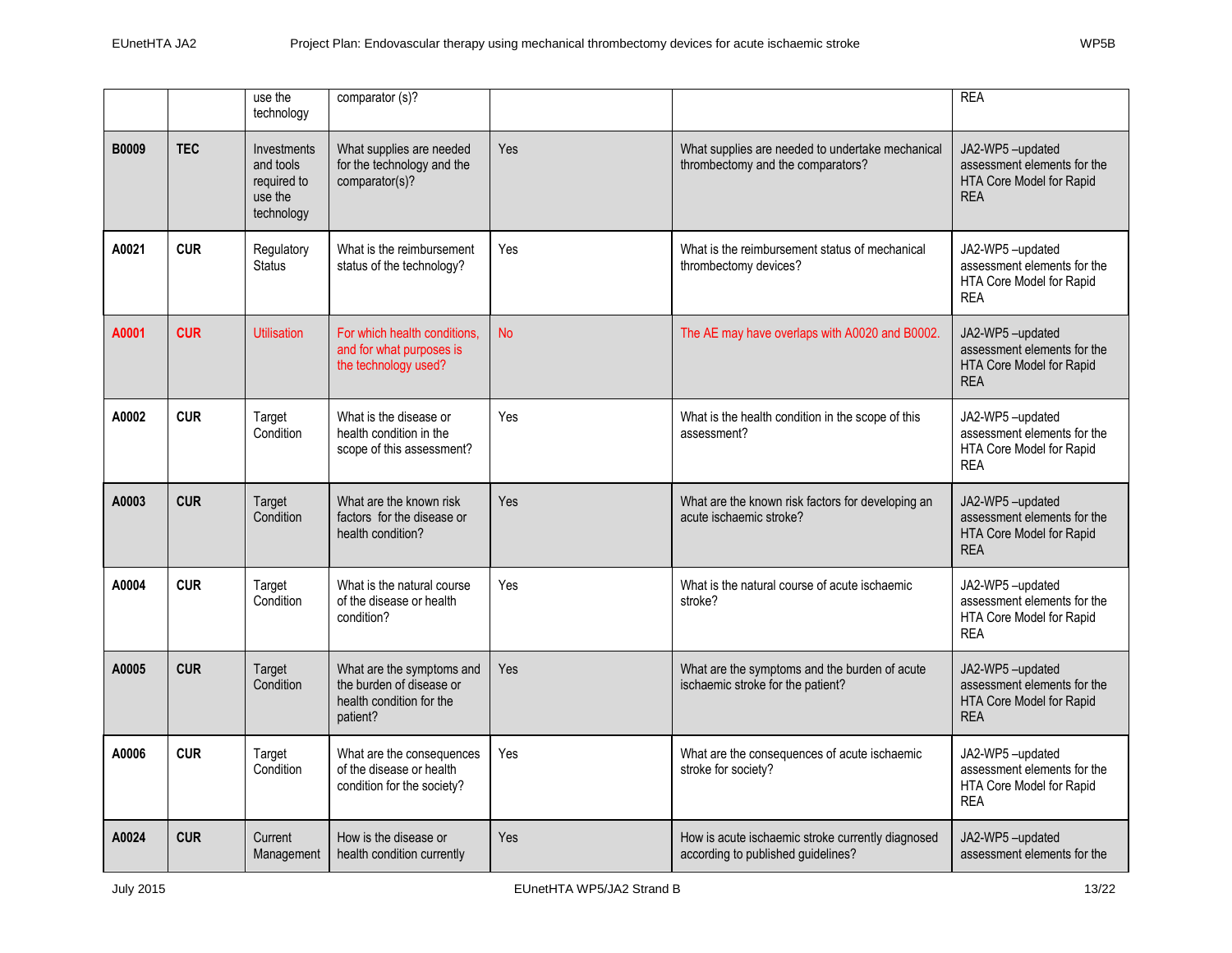|              |            | use the<br>technology                                            | comparator (s)?                                                                               |           |                                                                                         | <b>REA</b>                                                                                      |
|--------------|------------|------------------------------------------------------------------|-----------------------------------------------------------------------------------------------|-----------|-----------------------------------------------------------------------------------------|-------------------------------------------------------------------------------------------------|
| <b>B0009</b> | <b>TEC</b> | Investments<br>and tools<br>required to<br>use the<br>technology | What supplies are needed<br>for the technology and the<br>comparator(s)?                      | Yes       | What supplies are needed to undertake mechanical<br>thrombectomy and the comparators?   | JA2-WP5-updated<br>assessment elements for the<br><b>HTA Core Model for Rapid</b><br><b>REA</b> |
| A0021        | <b>CUR</b> | Regulatory<br><b>Status</b>                                      | What is the reimbursement<br>status of the technology?                                        | Yes       | What is the reimbursement status of mechanical<br>thrombectomy devices?                 | JA2-WP5-updated<br>assessment elements for the<br>HTA Core Model for Rapid<br><b>REA</b>        |
| A0001        | <b>CUR</b> | <b>Utilisation</b>                                               | For which health conditions.<br>and for what purposes is<br>the technology used?              | <b>No</b> | The AE may have overlaps with A0020 and B0002.                                          | JA2-WP5-updated<br>assessment elements for the<br><b>HTA Core Model for Rapid</b><br><b>REA</b> |
| A0002        | <b>CUR</b> | Target<br>Condition                                              | What is the disease or<br>health condition in the<br>scope of this assessment?                | Yes       | What is the health condition in the scope of this<br>assessment?                        | JA2-WP5-updated<br>assessment elements for the<br>HTA Core Model for Rapid<br><b>REA</b>        |
| A0003        | <b>CUR</b> | Target<br>Condition                                              | What are the known risk<br>factors for the disease or<br>health condition?                    | Yes       | What are the known risk factors for developing an<br>acute ischaemic stroke?            | JA2-WP5-updated<br>assessment elements for the<br><b>HTA Core Model for Rapid</b><br><b>REA</b> |
| A0004        | <b>CUR</b> | Target<br>Condition                                              | What is the natural course<br>of the disease or health<br>condition?                          | Yes       | What is the natural course of acute ischaemic<br>stroke?                                | JA2-WP5-updated<br>assessment elements for the<br>HTA Core Model for Rapid<br><b>REA</b>        |
| A0005        | <b>CUR</b> | Target<br>Condition                                              | What are the symptoms and<br>the burden of disease or<br>health condition for the<br>patient? | Yes       | What are the symptoms and the burden of acute<br>ischaemic stroke for the patient?      | JA2-WP5-updated<br>assessment elements for the<br>HTA Core Model for Rapid<br><b>REA</b>        |
| A0006        | <b>CUR</b> | Target<br>Condition                                              | What are the consequences<br>of the disease or health<br>condition for the society?           | Yes       | What are the consequences of acute ischaemic<br>stroke for society?                     | JA2-WP5-updated<br>assessment elements for the<br>HTA Core Model for Rapid<br><b>REA</b>        |
| A0024        | <b>CUR</b> | Current<br>Management                                            | How is the disease or<br>health condition currently                                           | Yes       | How is acute ischaemic stroke currently diagnosed<br>according to published guidelines? | JA2-WP5-updated<br>assessment elements for the                                                  |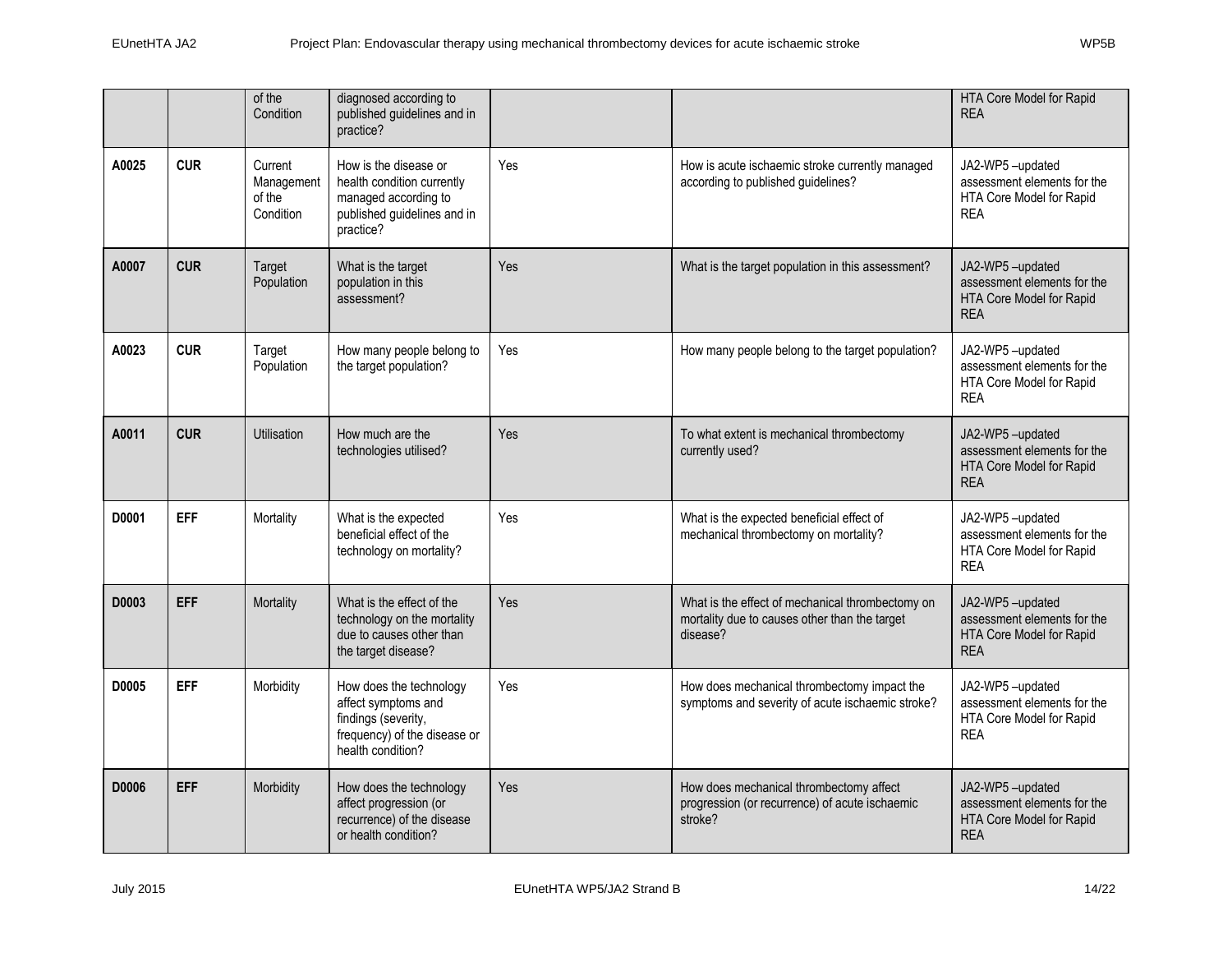|       |            | of the<br>Condition                          | diagnosed according to<br>published guidelines and in<br>practice?                                                         |     |                                                                                                               | HTA Core Model for Rapid<br><b>REA</b>                                                   |
|-------|------------|----------------------------------------------|----------------------------------------------------------------------------------------------------------------------------|-----|---------------------------------------------------------------------------------------------------------------|------------------------------------------------------------------------------------------|
| A0025 | <b>CUR</b> | Current<br>Management<br>of the<br>Condition | How is the disease or<br>health condition currently<br>managed according to<br>published guidelines and in<br>practice?    | Yes | How is acute ischaemic stroke currently managed<br>according to published guidelines?                         | JA2-WP5-updated<br>assessment elements for the<br>HTA Core Model for Rapid<br><b>REA</b> |
| A0007 | <b>CUR</b> | Target<br>Population                         | What is the target<br>population in this<br>assessment?                                                                    | Yes | What is the target population in this assessment?                                                             | JA2-WP5-updated<br>assessment elements for the<br>HTA Core Model for Rapid<br><b>REA</b> |
| A0023 | <b>CUR</b> | Target<br>Population                         | How many people belong to<br>the target population?                                                                        | Yes | How many people belong to the target population?                                                              | JA2-WP5-updated<br>assessment elements for the<br>HTA Core Model for Rapid<br><b>REA</b> |
| A0011 | <b>CUR</b> | <b>Utilisation</b>                           | How much are the<br>technologies utilised?                                                                                 | Yes | To what extent is mechanical thrombectomy<br>currently used?                                                  | JA2-WP5-updated<br>assessment elements for the<br>HTA Core Model for Rapid<br><b>REA</b> |
| D0001 | <b>EFF</b> | Mortality                                    | What is the expected<br>beneficial effect of the<br>technology on mortality?                                               | Yes | What is the expected beneficial effect of<br>mechanical thrombectomy on mortality?                            | JA2-WP5-updated<br>assessment elements for the<br>HTA Core Model for Rapid<br><b>REA</b> |
| D0003 | <b>EFF</b> | Mortality                                    | What is the effect of the<br>technology on the mortality<br>due to causes other than<br>the target disease?                | Yes | What is the effect of mechanical thrombectomy on<br>mortality due to causes other than the target<br>disease? | JA2-WP5-updated<br>assessment elements for the<br>HTA Core Model for Rapid<br><b>REA</b> |
| D0005 | <b>EFF</b> | Morbidity                                    | How does the technology<br>affect symptoms and<br>findings (severity,<br>frequency) of the disease or<br>health condition? | Yes | How does mechanical thrombectomy impact the<br>symptoms and severity of acute ischaemic stroke?               | JA2-WP5-updated<br>assessment elements for the<br>HTA Core Model for Rapid<br><b>REA</b> |
| D0006 | <b>EFF</b> | Morbidity                                    | How does the technology<br>affect progression (or<br>recurrence) of the disease<br>or health condition?                    | Yes | How does mechanical thrombectomy affect<br>progression (or recurrence) of acute ischaemic<br>stroke?          | JA2-WP5-updated<br>assessment elements for the<br>HTA Core Model for Rapid<br><b>REA</b> |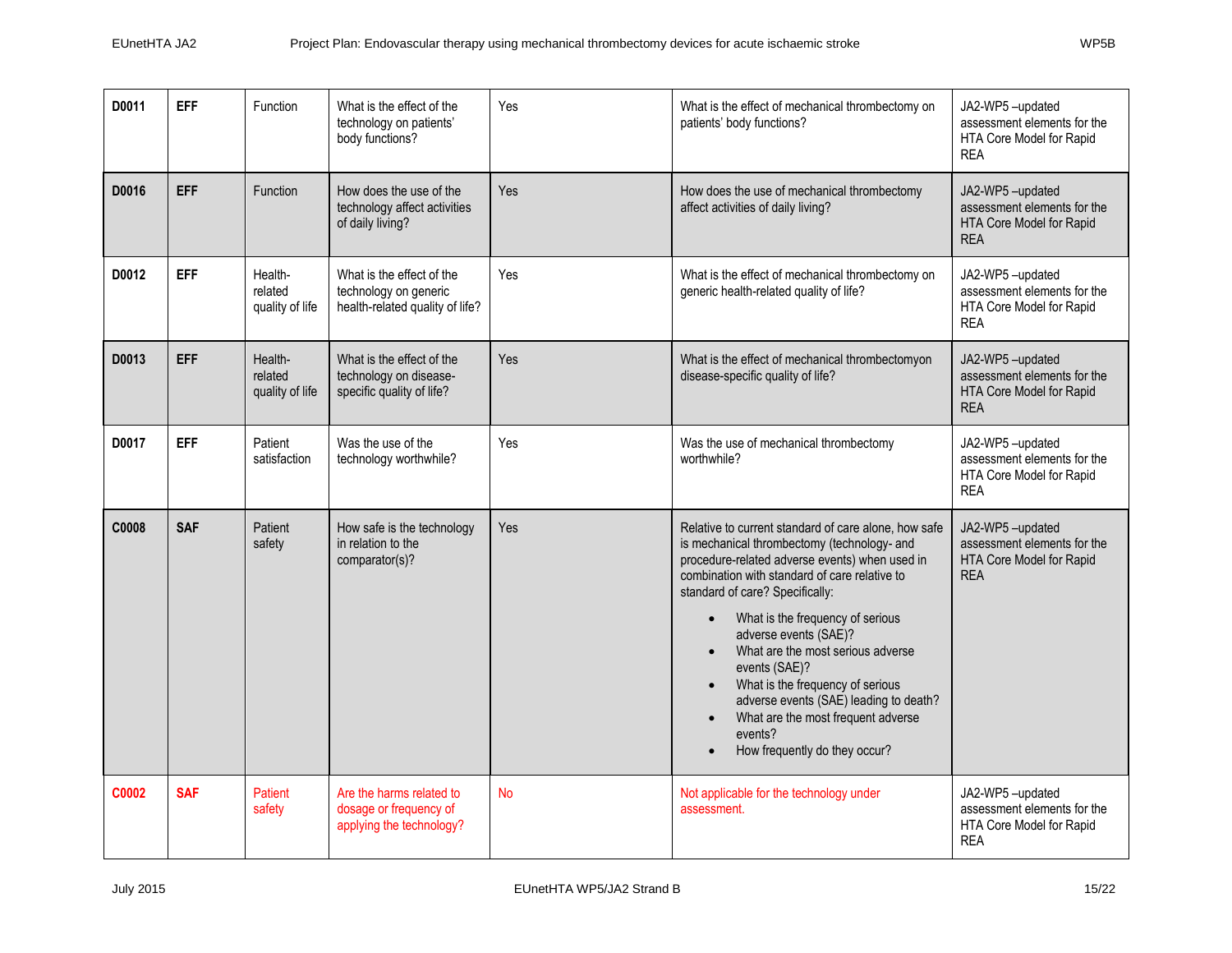$\top$ 

 $\top$ 

 $\top$ 

| D0011 | <b>EFF</b> | Function                              | What is the effect of the<br>technology on patients'<br>body functions?               | Yes       | What is the effect of mechanical thrombectomy on<br>patients' body functions?                                                                                                                                                                                                                                                                                                                                                                                                                                                                                                    | JA2-WP5-updated<br>assessment elements for the<br>HTA Core Model for Rapid<br><b>REA</b> |
|-------|------------|---------------------------------------|---------------------------------------------------------------------------------------|-----------|----------------------------------------------------------------------------------------------------------------------------------------------------------------------------------------------------------------------------------------------------------------------------------------------------------------------------------------------------------------------------------------------------------------------------------------------------------------------------------------------------------------------------------------------------------------------------------|------------------------------------------------------------------------------------------|
| D0016 | <b>EFF</b> | Function                              | How does the use of the<br>technology affect activities<br>of daily living?           | Yes       | How does the use of mechanical thrombectomy<br>affect activities of daily living?                                                                                                                                                                                                                                                                                                                                                                                                                                                                                                | JA2-WP5-updated<br>assessment elements for the<br>HTA Core Model for Rapid<br><b>REA</b> |
| D0012 | EFF        | Health-<br>related<br>quality of life | What is the effect of the<br>technology on generic<br>health-related quality of life? | Yes       | What is the effect of mechanical thrombectomy on<br>generic health-related quality of life?                                                                                                                                                                                                                                                                                                                                                                                                                                                                                      | JA2-WP5-updated<br>assessment elements for the<br>HTA Core Model for Rapid<br><b>REA</b> |
| D0013 | <b>EFF</b> | Health-<br>related<br>quality of life | What is the effect of the<br>technology on disease-<br>specific quality of life?      | Yes       | What is the effect of mechanical thrombectomyon<br>disease-specific quality of life?                                                                                                                                                                                                                                                                                                                                                                                                                                                                                             | JA2-WP5-updated<br>assessment elements for the<br>HTA Core Model for Rapid<br><b>REA</b> |
| D0017 | <b>EFF</b> | Patient<br>satisfaction               | Was the use of the<br>technology worthwhile?                                          | Yes       | Was the use of mechanical thrombectomy<br>worthwhile?                                                                                                                                                                                                                                                                                                                                                                                                                                                                                                                            | JA2-WP5-updated<br>assessment elements for the<br>HTA Core Model for Rapid<br><b>REA</b> |
| C0008 | <b>SAF</b> | Patient<br>safety                     | How safe is the technology<br>in relation to the<br>comparator(s)?                    | Yes       | Relative to current standard of care alone, how safe<br>is mechanical thrombectomy (technology- and<br>procedure-related adverse events) when used in<br>combination with standard of care relative to<br>standard of care? Specifically:<br>What is the frequency of serious<br>$\bullet$<br>adverse events (SAE)?<br>What are the most serious adverse<br>events (SAE)?<br>What is the frequency of serious<br>$\bullet$<br>adverse events (SAE) leading to death?<br>What are the most frequent adverse<br>$\bullet$<br>events?<br>How frequently do they occur?<br>$\bullet$ | JA2-WP5-updated<br>assessment elements for the<br>HTA Core Model for Rapid<br><b>REA</b> |
| C0002 | <b>SAF</b> | <b>Patient</b><br>safety              | Are the harms related to<br>dosage or frequency of<br>applying the technology?        | <b>No</b> | Not applicable for the technology under<br>assessment.                                                                                                                                                                                                                                                                                                                                                                                                                                                                                                                           | JA2-WP5-updated<br>assessment elements for the<br>HTA Core Model for Rapid<br><b>REA</b> |

┑

 $\top$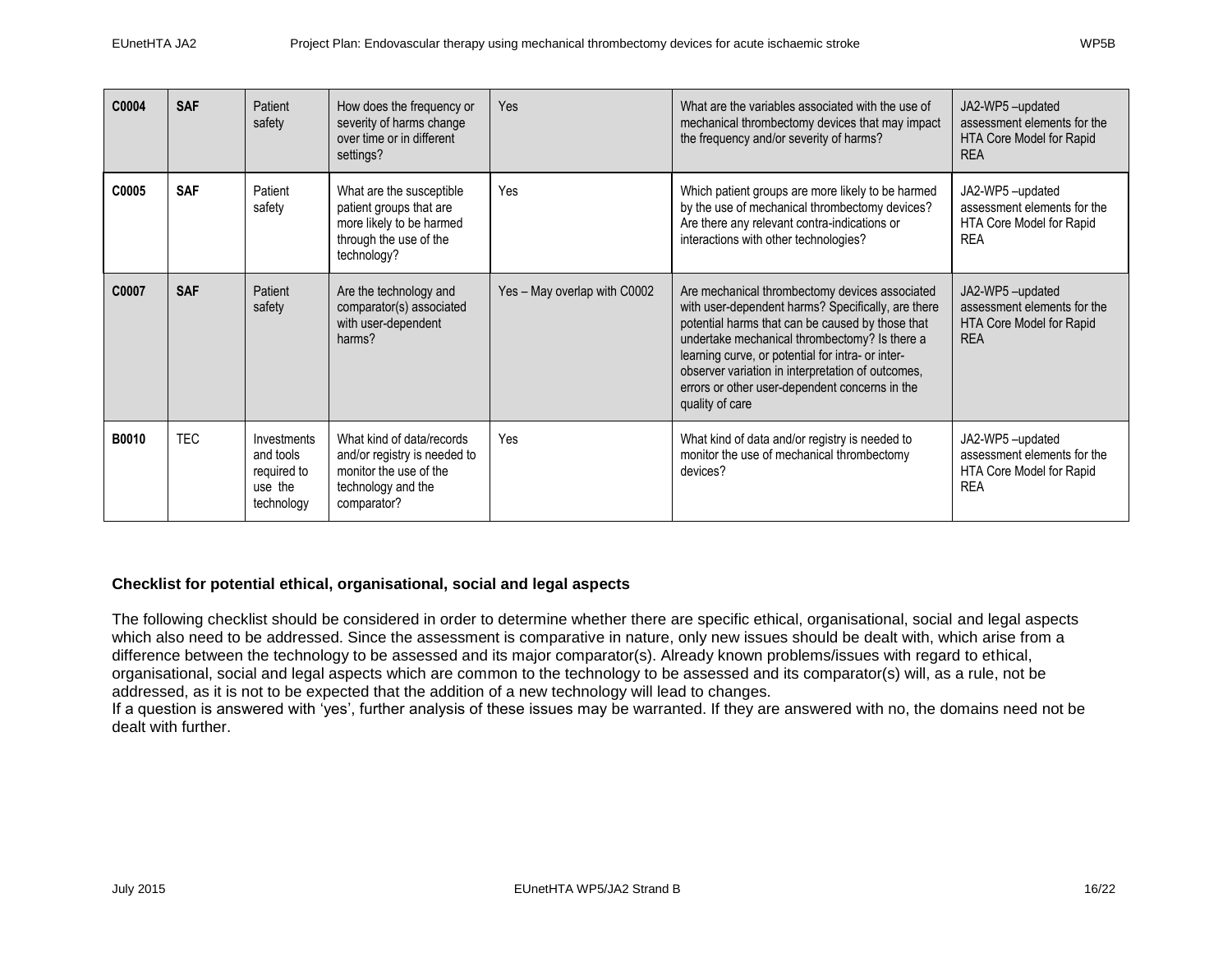| C0004 | <b>SAF</b> | Patient<br>safety                                                | How does the frequency or<br>severity of harms change<br>over time or in different<br>settings?                          | Yes                          | What are the variables associated with the use of<br>mechanical thrombectomy devices that may impact<br>the frequency and/or severity of harms?                                                                                                                                                                                                                                          | JA2-WP5-updated<br>assessment elements for the<br>HTA Core Model for Rapid<br><b>REA</b> |
|-------|------------|------------------------------------------------------------------|--------------------------------------------------------------------------------------------------------------------------|------------------------------|------------------------------------------------------------------------------------------------------------------------------------------------------------------------------------------------------------------------------------------------------------------------------------------------------------------------------------------------------------------------------------------|------------------------------------------------------------------------------------------|
| C0005 | <b>SAF</b> | Patient<br>safety                                                | What are the susceptible<br>patient groups that are<br>more likely to be harmed<br>through the use of the<br>technology? | Yes                          | Which patient groups are more likely to be harmed<br>by the use of mechanical thrombectomy devices?<br>Are there any relevant contra-indications or<br>interactions with other technologies?                                                                                                                                                                                             | JA2-WP5-updated<br>assessment elements for the<br>HTA Core Model for Rapid<br><b>REA</b> |
| C0007 | <b>SAF</b> | Patient<br>safety                                                | Are the technology and<br>comparator(s) associated<br>with user-dependent<br>harms?                                      | Yes - May overlap with C0002 | Are mechanical thrombectomy devices associated<br>with user-dependent harms? Specifically, are there<br>potential harms that can be caused by those that<br>undertake mechanical thrombectomy? Is there a<br>learning curve, or potential for intra- or inter-<br>observer variation in interpretation of outcomes,<br>errors or other user-dependent concerns in the<br>quality of care | JA2-WP5-updated<br>assessment elements for the<br>HTA Core Model for Rapid<br><b>RFA</b> |
| B0010 | <b>TEC</b> | Investments<br>and tools<br>required to<br>use the<br>technology | What kind of data/records<br>and/or registry is needed to<br>monitor the use of the<br>technology and the<br>comparator? | Yes                          | What kind of data and/or registry is needed to<br>monitor the use of mechanical thrombectomy<br>devices?                                                                                                                                                                                                                                                                                 | JA2-WP5-updated<br>assessment elements for the<br>HTA Core Model for Rapid<br><b>REA</b> |

#### **Checklist for potential ethical, organisational, social and legal aspects**

The following checklist should be considered in order to determine whether there are specific ethical, organisational, social and legal aspects which also need to be addressed. Since the assessment is comparative in nature, only new issues should be dealt with, which arise from a difference between the technology to be assessed and its major comparator(s). Already known problems/issues with regard to ethical, organisational, social and legal aspects which are common to the technology to be assessed and its comparator(s) will, as a rule, not be addressed, as it is not to be expected that the addition of a new technology will lead to changes.

If a question is answered with 'yes', further analysis of these issues may be warranted. If they are answered with no, the domains need not be dealt with further.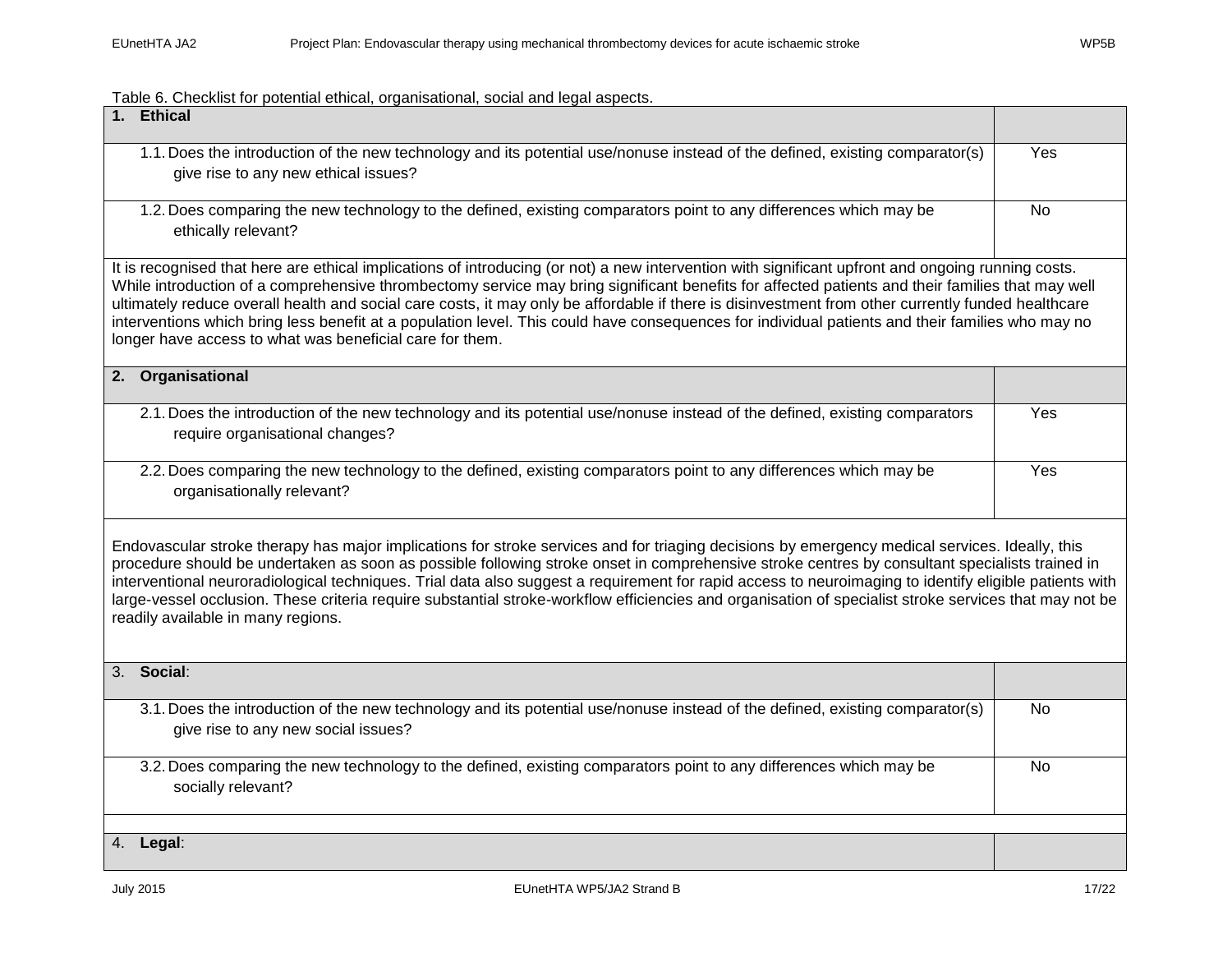Table 6. Checklist for potential ethical, organisational, social and legal aspects.

| <b>Ethical</b>                                                                                                                                                                                                                                                                                                                                                                                                                                                                                                                                                                                                                                                               |     |  |  |  |
|------------------------------------------------------------------------------------------------------------------------------------------------------------------------------------------------------------------------------------------------------------------------------------------------------------------------------------------------------------------------------------------------------------------------------------------------------------------------------------------------------------------------------------------------------------------------------------------------------------------------------------------------------------------------------|-----|--|--|--|
| 1.1. Does the introduction of the new technology and its potential use/nonuse instead of the defined, existing comparator(s)<br>give rise to any new ethical issues?                                                                                                                                                                                                                                                                                                                                                                                                                                                                                                         | Yes |  |  |  |
| 1.2. Does comparing the new technology to the defined, existing comparators point to any differences which may be<br>ethically relevant?                                                                                                                                                                                                                                                                                                                                                                                                                                                                                                                                     | No  |  |  |  |
| It is recognised that here are ethical implications of introducing (or not) a new intervention with significant upfront and ongoing running costs.<br>While introduction of a comprehensive thrombectomy service may bring significant benefits for affected patients and their families that may well<br>ultimately reduce overall health and social care costs, it may only be affordable if there is disinvestment from other currently funded healthcare<br>interventions which bring less benefit at a population level. This could have consequences for individual patients and their families who may no<br>longer have access to what was beneficial care for them. |     |  |  |  |
| 2. Organisational                                                                                                                                                                                                                                                                                                                                                                                                                                                                                                                                                                                                                                                            |     |  |  |  |
| 2.1. Does the introduction of the new technology and its potential use/nonuse instead of the defined, existing comparators<br>require organisational changes?                                                                                                                                                                                                                                                                                                                                                                                                                                                                                                                | Yes |  |  |  |
| 2.2. Does comparing the new technology to the defined, existing comparators point to any differences which may be<br>organisationally relevant?                                                                                                                                                                                                                                                                                                                                                                                                                                                                                                                              | Yes |  |  |  |
| Endovascular stroke therapy has major implications for stroke services and for triaging decisions by emergency medical services. Ideally, this<br>procedure should be undertaken as soon as possible following stroke onset in comprehensive stroke centres by consultant specialists trained in<br>interventional neuroradiological techniques. Trial data also suggest a requirement for rapid access to neuroimaging to identify eligible patients with<br>large-vessel occlusion. These criteria require substantial stroke-workflow efficiencies and organisation of specialist stroke services that may not be<br>readily available in many regions.                   |     |  |  |  |
| 3. Social:                                                                                                                                                                                                                                                                                                                                                                                                                                                                                                                                                                                                                                                                   |     |  |  |  |
| 3.1. Does the introduction of the new technology and its potential use/nonuse instead of the defined, existing comparator(s)<br>give rise to any new social issues?                                                                                                                                                                                                                                                                                                                                                                                                                                                                                                          | No  |  |  |  |
| 3.2. Does comparing the new technology to the defined, existing comparators point to any differences which may be<br>socially relevant?                                                                                                                                                                                                                                                                                                                                                                                                                                                                                                                                      | No  |  |  |  |
| 4. Legal:                                                                                                                                                                                                                                                                                                                                                                                                                                                                                                                                                                                                                                                                    |     |  |  |  |
|                                                                                                                                                                                                                                                                                                                                                                                                                                                                                                                                                                                                                                                                              |     |  |  |  |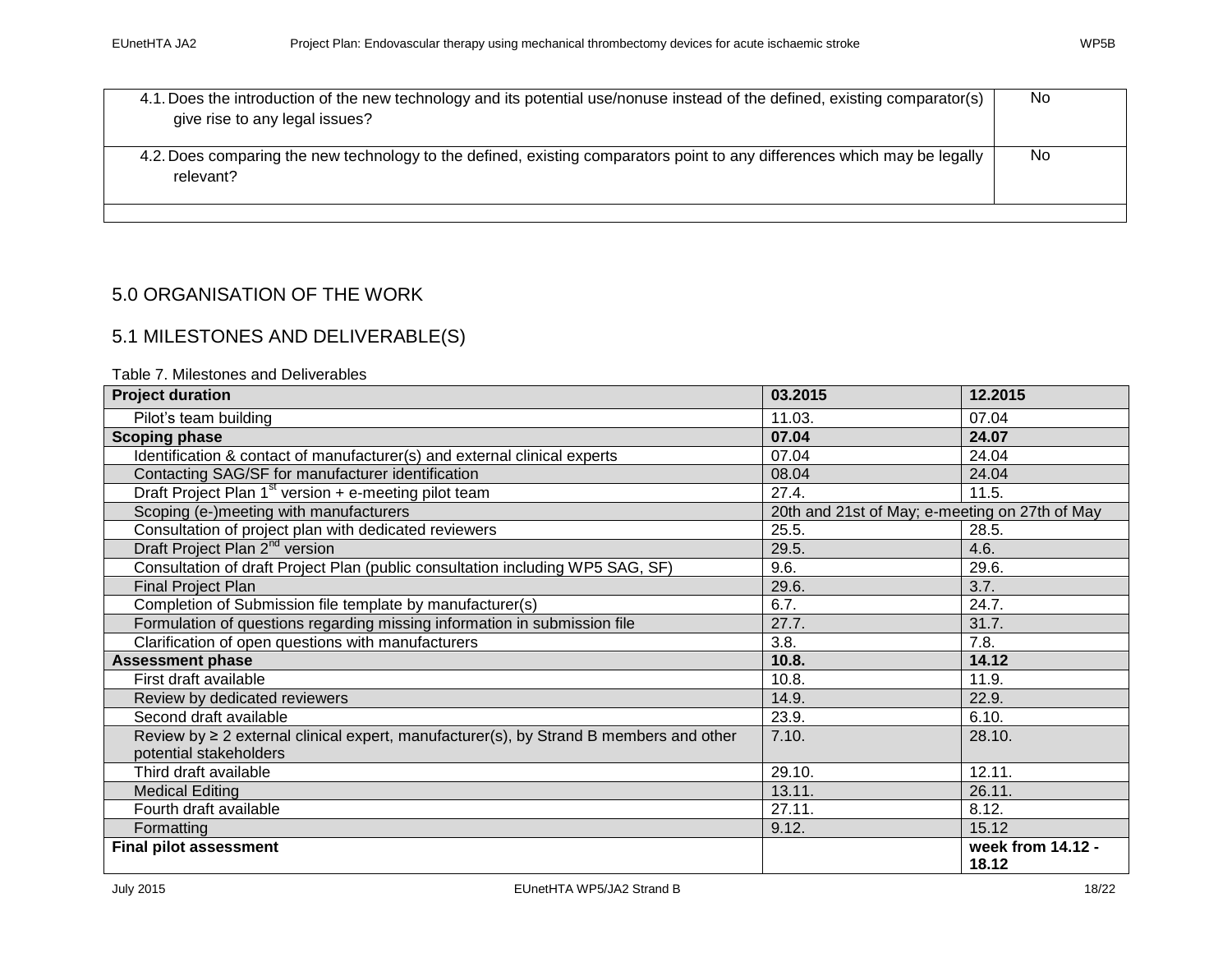| 4.1. Does the introduction of the new technology and its potential use/nonuse instead of the defined, existing comparator(s)<br>give rise to any legal issues? | No |
|----------------------------------------------------------------------------------------------------------------------------------------------------------------|----|
| 4.2. Does comparing the new technology to the defined, existing comparators point to any differences which may be legally<br>relevant?                         | No |
|                                                                                                                                                                |    |

## <span id="page-17-0"></span>5.0 ORGANISATION OF THE WORK

## <span id="page-17-1"></span>5.1 MILESTONES AND DELIVERABLE(S)

#### Table 7. Milestones and Deliverables

| <b>Project duration</b>                                                                     | 03.2015                                        | 12.2015           |
|---------------------------------------------------------------------------------------------|------------------------------------------------|-------------------|
| Pilot's team building                                                                       | 11.03.                                         | 07.04             |
| <b>Scoping phase</b>                                                                        | 07.04                                          | 24.07             |
| Identification & contact of manufacturer(s) and external clinical experts                   | 07.04                                          | 24.04             |
| Contacting SAG/SF for manufacturer identification                                           | 08.04                                          | 24.04             |
| Draft Project Plan $1st$ version + e-meeting pilot team                                     | 27.4.                                          | 11.5.             |
| Scoping (e-)meeting with manufacturers                                                      | 20th and 21st of May; e-meeting on 27th of May |                   |
| Consultation of project plan with dedicated reviewers                                       | 25.5.                                          | 28.5.             |
| Draft Project Plan 2 <sup>nd</sup> version                                                  | 29.5.                                          | 4.6.              |
| Consultation of draft Project Plan (public consultation including WP5 SAG, SF)              | 9.6.                                           | 29.6.             |
| <b>Final Project Plan</b>                                                                   | 29.6.                                          | 3.7.              |
| Completion of Submission file template by manufacturer(s)                                   | 6.7.                                           | 24.7.             |
| Formulation of questions regarding missing information in submission file                   | 27.7.                                          | 31.7.             |
| Clarification of open questions with manufacturers                                          | 3.8.                                           | 7.8.              |
| <b>Assessment phase</b>                                                                     | 10.8.                                          | 14.12             |
| First draft available                                                                       | 10.8.                                          | 11.9.             |
| Review by dedicated reviewers                                                               | 14.9.                                          | 22.9.             |
| Second draft available                                                                      | 23.9.                                          | 6.10.             |
| Review by $\geq 2$ external clinical expert, manufacturer(s), by Strand B members and other | 7.10.                                          | 28.10.            |
| potential stakeholders                                                                      |                                                |                   |
| Third draft available                                                                       | 29.10.                                         | 12.11.            |
| <b>Medical Editing</b>                                                                      | 13.11.                                         | 26.11.            |
| Fourth draft available                                                                      | 27.11.                                         | 8.12.             |
| Formatting                                                                                  | 9.12.                                          | 15.12             |
| <b>Final pilot assessment</b>                                                               |                                                | week from 14.12 - |
|                                                                                             |                                                | 18.12             |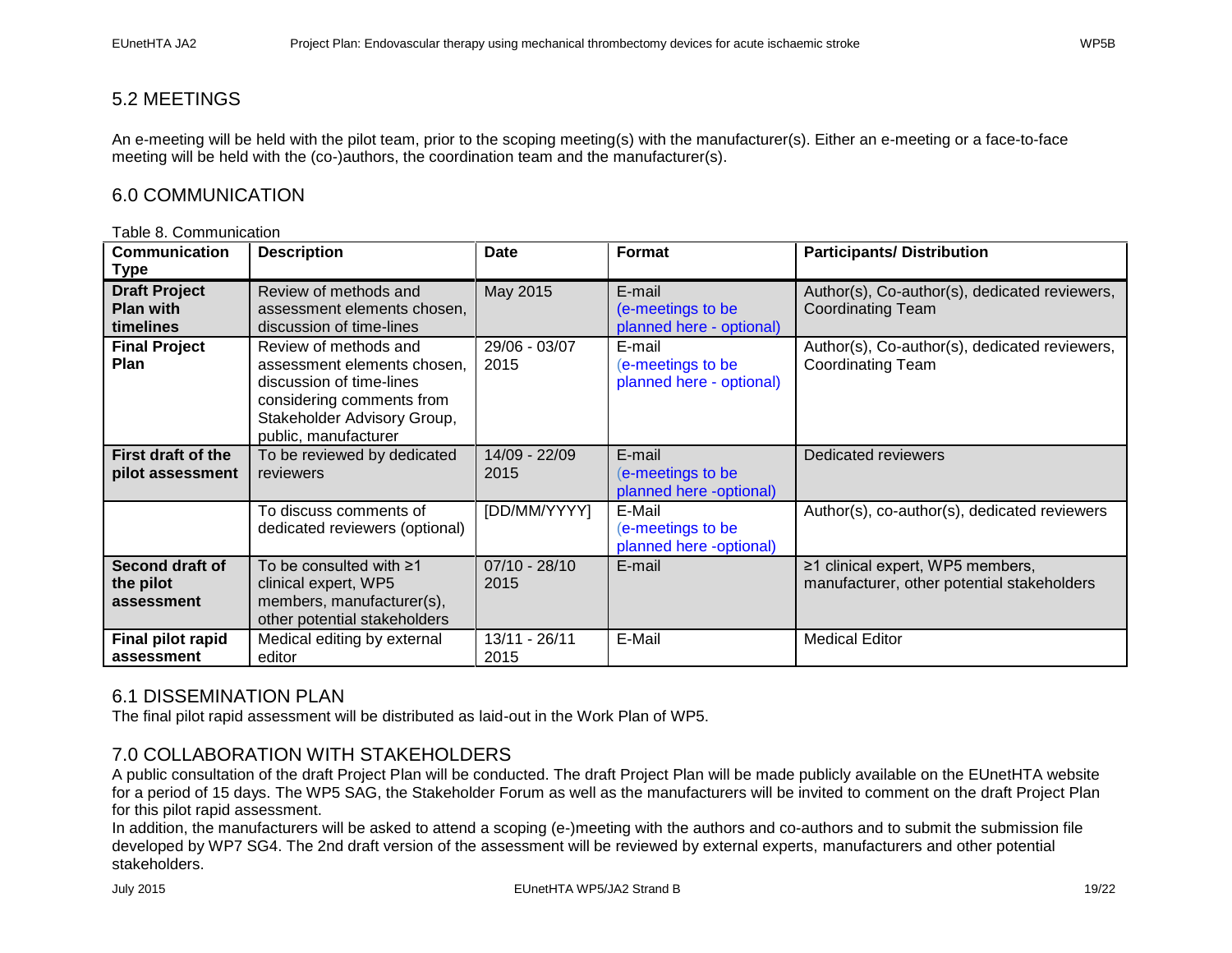#### <span id="page-18-0"></span>5.2 MEETINGS

An e-meeting will be held with the pilot team, prior to the scoping meeting(s) with the manufacturer(s). Either an e-meeting or a face-to-face meeting will be held with the (co-)authors, the coordination team and the manufacturer(s).

#### <span id="page-18-1"></span>6.0 COMMUNICATION

#### Table 8. Communication **Communication Type Description Date Format Participants/ Distribution Draft Project Plan with timelines** Review of methods and assessment elements chosen, discussion of time-lines May 2015 E-mail (e-meetings to be planned here - optional) Author(s), Co-author(s), dedicated reviewers, Coordinating Team **Final Project Plan**  Review of methods and assessment elements chosen, discussion of time-lines considering comments from Stakeholder Advisory Group, public, manufacturer 29/06 - 03/07 2015 E-mail (e-meetings to be planned here - optional) Author(s), Co-author(s), dedicated reviewers, Coordinating Team **First draft of the pilot assessment** To be reviewed by dedicated reviewers 14/09 - 22/09 2015 E-mail (e-meetings to be planned here -optional) Dedicated reviewers To discuss comments of dedicated reviewers (optional) [DD/MM/YYYY] E-Mail (e-meetings to be planned here -optional) Author(s), co-author(s), dedicated reviewers **Second draft of the pilot assessment** To be consulted with ≥1 clinical expert, WP5 members, manufacturer(s), other potential stakeholders 07/10 - 28/10 2015 E-mail ≥1 clinical expert, WP5 members, manufacturer, other potential stakeholders **Final pilot rapid assessment** Medical editing by external editor 13/11 - 26/11 2015 E-Mail Medical Editor

#### <span id="page-18-2"></span>6.1 DISSEMINATION PLAN

The final pilot rapid assessment will be distributed as laid-out in the Work Plan of WP5.

# <span id="page-18-3"></span>7.0 COLLABORATION WITH STAKEHOLDERS

A public consultation of the draft Project Plan will be conducted. The draft Project Plan will be made publicly available on the EUnetHTA website for a period of 15 days. The WP5 SAG, the Stakeholder Forum as well as the manufacturers will be invited to comment on the draft Project Plan for this pilot rapid assessment.

In addition, the manufacturers will be asked to attend a scoping (e-)meeting with the authors and co-authors and to submit the submission file developed by WP7 SG4. The 2nd draft version of the assessment will be reviewed by external experts, manufacturers and other potential stakeholders.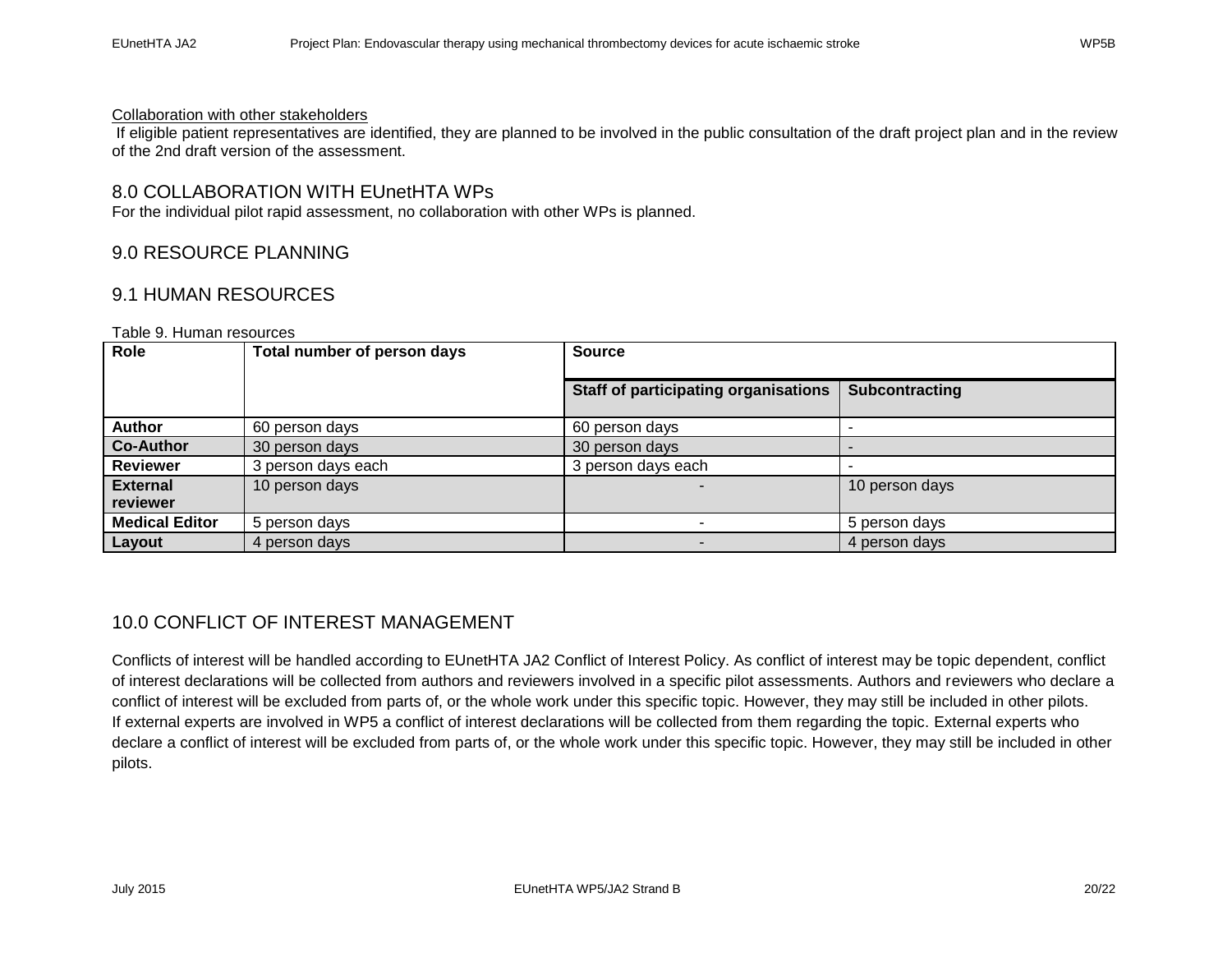#### Collaboration with other stakeholders

If eligible patient representatives are identified, they are planned to be involved in the public consultation of the draft project plan and in the review of the 2nd draft version of the assessment.

#### <span id="page-19-0"></span>8.0 COLLABORATION WITH EUnetHTA WPs

For the individual pilot rapid assessment, no collaboration with other WPs is planned.

#### <span id="page-19-1"></span>9.0 RESOURCE PLANNING

#### <span id="page-19-2"></span>9.1 HUMAN RESOURCES

#### Table 9. Human resources

| Role                  | Total number of person days | <b>Source</b>                               |                |  |
|-----------------------|-----------------------------|---------------------------------------------|----------------|--|
|                       |                             | <b>Staff of participating organisations</b> | Subcontracting |  |
| <b>Author</b>         | 60 person days              | 60 person days                              |                |  |
| Co-Author             | 30 person days              | 30 person days                              |                |  |
| <b>Reviewer</b>       | 3 person days each          | 3 person days each                          |                |  |
| <b>External</b>       | 10 person days              |                                             | 10 person days |  |
| reviewer              |                             |                                             |                |  |
| <b>Medical Editor</b> | 5 person days               |                                             | 5 person days  |  |
| Layout                | 4 person days               |                                             | 4 person days  |  |

#### <span id="page-19-3"></span>10.0 CONFLICT OF INTEREST MANAGEMENT

Conflicts of interest will be handled according to EUnetHTA JA2 Conflict of Interest Policy. As conflict of interest may be topic dependent, conflict of interest declarations will be collected from authors and reviewers involved in a specific pilot assessments. Authors and reviewers who declare a conflict of interest will be excluded from parts of, or the whole work under this specific topic. However, they may still be included in other pilots. If external experts are involved in WP5 a conflict of interest declarations will be collected from them regarding the topic. External experts who declare a conflict of interest will be excluded from parts of, or the whole work under this specific topic. However, they may still be included in other pilots.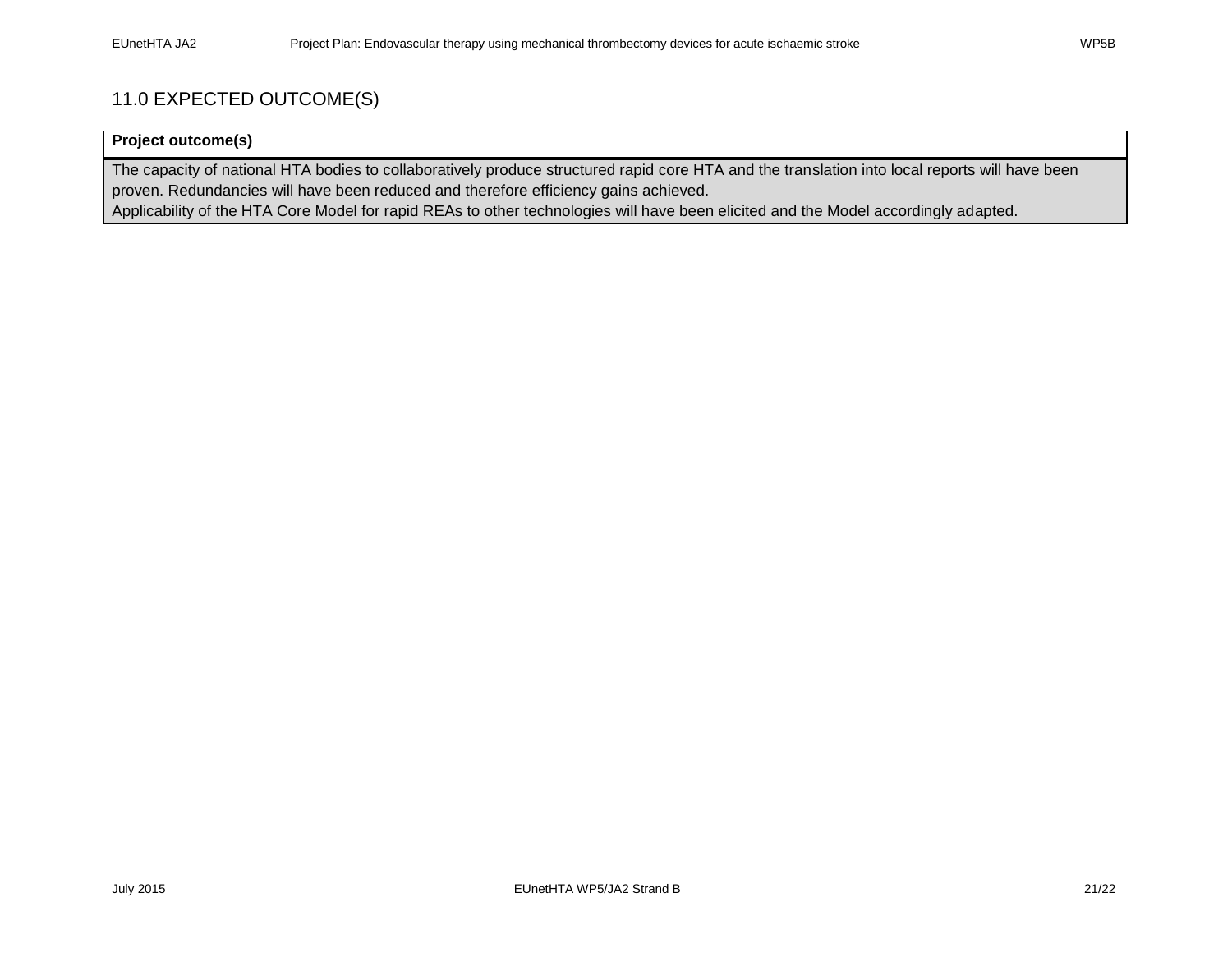# <span id="page-20-0"></span>11.0 EXPECTED OUTCOME(S)

#### **Project outcome(s)**

The capacity of national HTA bodies to collaboratively produce structured rapid core HTA and the translation into local reports will have been proven. Redundancies will have been reduced and therefore efficiency gains achieved.

Applicability of the HTA Core Model for rapid REAs to other technologies will have been elicited and the Model accordingly adapted.